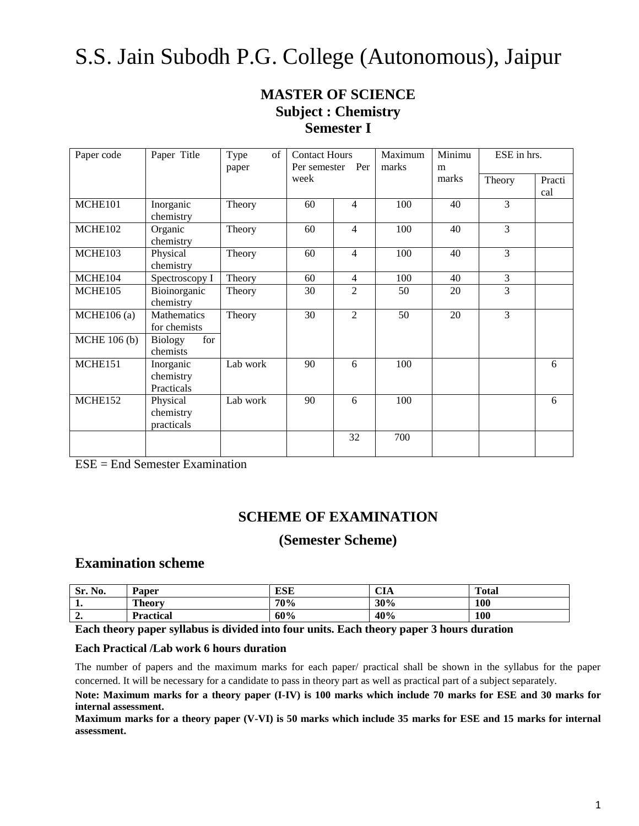# S.S. Jain Subodh P.G. College (Autonomous), Jaipur

## **MASTER OF SCIENCE Subject : Chemistry Semester I**

| Paper code    | Paper Title                          | Type<br>of<br>paper | <b>Contact Hours</b><br>Per semester | Per            | Maximum<br>marks | Minimu<br>m | ESE in hrs.    |               |
|---------------|--------------------------------------|---------------------|--------------------------------------|----------------|------------------|-------------|----------------|---------------|
|               |                                      |                     | week                                 |                |                  | marks       | Theory         | Practi<br>cal |
| MCHE101       | Inorganic<br>chemistry               | Theory              | 60                                   | $\overline{4}$ | 100              | 40          | 3              |               |
| MCHE102       | Organic<br>chemistry                 | Theory              | 60                                   | $\overline{4}$ | 100              | 40          | 3              |               |
| MCHE103       | Physical<br>chemistry                | Theory              | 60                                   | $\overline{4}$ | 100              | 40          | $\overline{3}$ |               |
| MCHE104       | Spectroscopy I                       | Theory              | 60                                   | $\overline{4}$ | 100              | 40          | 3              |               |
| MCHE105       | Bioinorganic<br>chemistry            | Theory              | 30                                   | $\overline{c}$ | 50               | 20          | 3              |               |
| $MCHE106$ (a) | Mathematics<br>for chemists          | Theory              | 30                                   | 2              | 50               | 20          | 3              |               |
| MCHE 106 (b)  | <b>Biology</b><br>for<br>chemists    |                     |                                      |                |                  |             |                |               |
| MCHE151       | Inorganic<br>chemistry<br>Practicals | Lab work            | 90                                   | 6              | 100              |             |                | 6             |
| MCHE152       | Physical<br>chemistry<br>practicals  | Lab work            | 90                                   | 6              | 100              |             |                | 6             |
|               |                                      |                     |                                      | 32             | 700              |             |                |               |

ESE = End Semester Examination

### **SCHEME OF EXAMINATION**

### **(Semester Scheme)**

### **Examination scheme**

| Sr.<br>No. | Paper            | <b>ESE</b> | CIA | <b>Total</b> |
|------------|------------------|------------|-----|--------------|
| . .        | <b>Theory</b>    | 70%        | 30% | 100          |
| ∸.         | <b>Practical</b> | 60%        | 40% | 100          |

**Each theory paper syllabus is divided into four units. Each theory paper 3 hours duration**

### **Each Practical /Lab work 6 hours duration**

The number of papers and the maximum marks for each paper/ practical shall be shown in the syllabus for the paper concerned. It will be necessary for a candidate to pass in theory part as well as practical part of a subject separately.

**Note: Maximum marks for a theory paper (I-IV) is 100 marks which include 70 marks for ESE and 30 marks for internal assessment.**

**Maximum marks for a theory paper (V-VI) is 50 marks which include 35 marks for ESE and 15 marks for internal assessment.**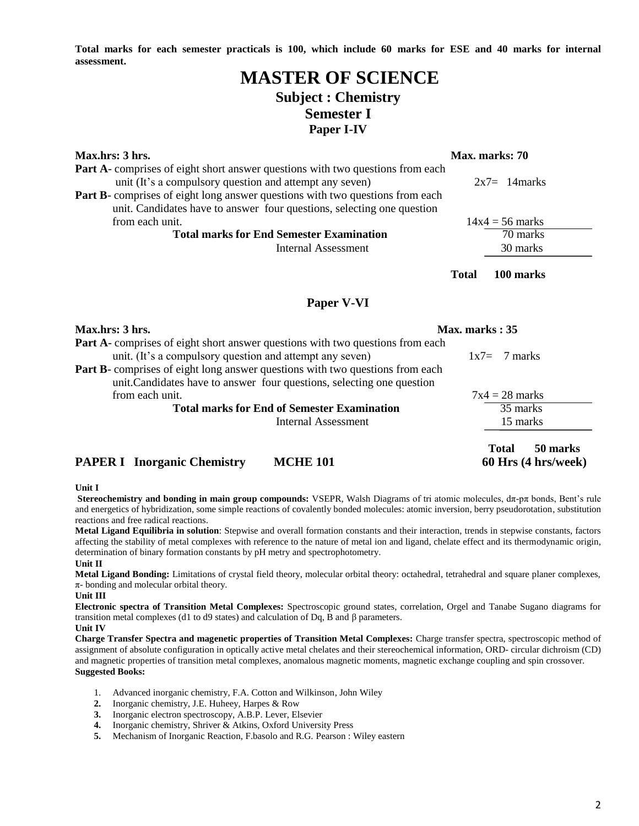**Total marks for each semester practicals is 100, which include 60 marks for ESE and 40 marks for internal assessment.**

### **MASTER OF SCIENCE Subject : Chemistry Semester I Paper I-IV**

| Max.hrs: 3 hrs.                                                                       |              | Max. marks: 70    |
|---------------------------------------------------------------------------------------|--------------|-------------------|
| <b>Part A</b> -comprises of eight short answer questions with two questions from each |              |                   |
| unit (It's a compulsory question and attempt any seven)                               |              | $2x7 = 14$ marks  |
| <b>Part B-</b> comprises of eight long answer questions with two questions from each  |              |                   |
| unit. Candidates have to answer four questions, selecting one question                |              |                   |
| from each unit.                                                                       |              | $14x4 = 56$ marks |
| <b>Total marks for End Semester Examination</b>                                       |              | 70 marks          |
| Internal Assessment                                                                   |              | 30 marks          |
|                                                                                       |              |                   |
|                                                                                       | <b>Total</b> | 100 marks         |

### **Paper V-VI**

| Max.hrs: 3 hrs.                                                                                                                                                | Max. marks: 35                                  |
|----------------------------------------------------------------------------------------------------------------------------------------------------------------|-------------------------------------------------|
| Part A- comprises of eight short answer questions with two questions from each<br>unit. (It's a compulsory question and attempt any seven)                     | $1x7 = 7$ marks                                 |
| <b>Part B-</b> comprises of eight long answer questions with two questions from each<br>unit. Candidates have to answer four questions, selecting one question |                                                 |
| from each unit.                                                                                                                                                | $7x4 = 28$ marks                                |
| <b>Total marks for End of Semester Examination</b>                                                                                                             | 35 marks                                        |
| Internal Assessment                                                                                                                                            | 15 marks                                        |
| <b>PAPER I</b> Inorganic Chemistry<br><b>MCHE 101</b>                                                                                                          | 50 marks<br><b>Total</b><br>60 Hrs (4 hrs/week) |

#### **Unit I**

**Stereochemistry and bonding in main group compounds:** VSEPR, Walsh Diagrams of tri atomic molecules, dπ-pπ bonds, Bent's rule and energetics of hybridization, some simple reactions of covalently bonded molecules: atomic inversion, berry pseudorotation, substitution reactions and free radical reactions.

**Metal Ligand Equilibria in solution**: Stepwise and overall formation constants and their interaction, trends in stepwise constants, factors affecting the stability of metal complexes with reference to the nature of metal ion and ligand, chelate effect and its thermodynamic origin, determination of binary formation constants by pH metry and spectrophotometry. **Unit II**

**Metal Ligand Bonding:** Limitations of crystal field theory, molecular orbital theory: octahedral, tetrahedral and square planer complexes, π- bonding and molecular orbital theory.

**Unit III**

**Electronic spectra of Transition Metal Complexes:** Spectroscopic ground states, correlation, Orgel and Tanabe Sugano diagrams for transition metal complexes (d1 to d9 states) and calculation of Dq, B and β parameters.

**Unit IV** 

**Charge Transfer Spectra and magenetic properties of Transition Metal Complexes:** Charge transfer spectra, spectroscopic method of assignment of absolute configuration in optically active metal chelates and their stereochemical information, ORD- circular dichroism (CD) and magnetic properties of transition metal complexes, anomalous magnetic moments, magnetic exchange coupling and spin crossover. **Suggested Books:**

- 1. Advanced inorganic chemistry, F.A. Cotton and Wilkinson, John Wiley
- **2.** Inorganic chemistry, J.E. Huheey, Harpes & Row
- **3.** Inorganic electron spectroscopy, A.B.P. Lever, Elsevier
- **4.** Inorganic chemistry, Shriver & Atkins, Oxford University Press
- **5.** Mechanism of Inorganic Reaction, F.basolo and R.G. Pearson : Wiley eastern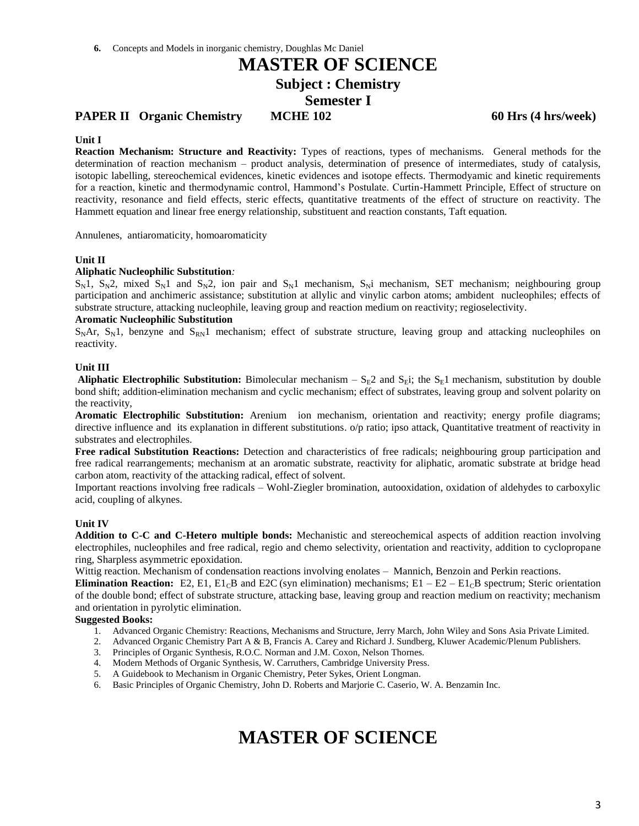### **PAPER II** Organic Chemistry MCHE 102 60 Hrs (4 hrs/week)

#### **Unit I**

**Reaction Mechanism: Structure and Reactivity:** Types of reactions, types of mechanisms. General methods for the determination of reaction mechanism – product analysis, determination of presence of intermediates, study of catalysis, isotopic labelling, stereochemical evidences, kinetic evidences and isotope effects. Thermodyamic and kinetic requirements for a reaction, kinetic and thermodynamic control, Hammond's Postulate. Curtin-Hammett Principle, Effect of structure on reactivity, resonance and field effects, steric effects, quantitative treatments of the effect of structure on reactivity. The Hammett equation and linear free energy relationship, substituent and reaction constants, Taft equation.

Annulenes, antiaromaticity, homoaromaticity

#### **Unit II**

#### **Aliphatic Nucleophilic Substitution***:*

 $S_N$ 1,  $S_N$ 2, mixed  $S_N$ 1 and  $S_N$ 2, ion pair and  $S_N$ 1 mechanism,  $S_N$ i mechanism, SET mechanism; neighbouring group participation and anchimeric assistance; substitution at allylic and vinylic carbon atoms; ambident nucleophiles; effects of substrate structure, attacking nucleophile, leaving group and reaction medium on reactivity; regioselectivity.

#### **Aromatic Nucleophilic Substitution**

 $S<sub>N</sub>Ar$ ,  $S<sub>N</sub>1$ , benzyne and  $S<sub>RN</sub>1$  mechanism; effect of substrate structure, leaving group and attacking nucleophiles on reactivity.

#### **Unit III**

**Aliphatic Electrophilic Substitution:** Bimolecular mechanism –  $S_E2$  and  $S_Ei$ ; the  $S_E1$  mechanism, substitution by double bond shift; addition-elimination mechanism and cyclic mechanism; effect of substrates, leaving group and solvent polarity on the reactivity,

**Aromatic Electrophilic Substitution:** Arenium ion mechanism, orientation and reactivity; energy profile diagrams; directive influence and its explanation in different substitutions. o/p ratio; ipso attack, Quantitative treatment of reactivity in substrates and electrophiles.

**Free radical Substitution Reactions:** Detection and characteristics of free radicals; neighbouring group participation and free radical rearrangements; mechanism at an aromatic substrate, reactivity for aliphatic, aromatic substrate at bridge head carbon atom, reactivity of the attacking radical, effect of solvent.

Important reactions involving free radicals – Wohl-Ziegler bromination, autooxidation, oxidation of aldehydes to carboxylic acid, coupling of alkynes.

#### **Unit IV**

**Addition to C-C and C-Hetero multiple bonds:** Mechanistic and stereochemical aspects of addition reaction involving electrophiles, nucleophiles and free radical, regio and chemo selectivity, orientation and reactivity, addition to cyclopropane ring, Sharpless asymmetric epoxidation.

Wittig reaction. Mechanism of condensation reactions involving enolates – Mannich, Benzoin and Perkin reactions.

**Elimination Reaction:** E2, E1, E1<sub>C</sub>B and E2C (syn elimination) mechanisms; E1 – E2 – E1<sub>C</sub>B spectrum; Steric orientation of the double bond; effect of substrate structure, attacking base, leaving group and reaction medium on reactivity; mechanism and orientation in pyrolytic elimination.

#### **Suggested Books:**

- 1. Advanced Organic Chemistry: Reactions, Mechanisms and Structure, Jerry March, John Wiley and Sons Asia Private Limited.
- 2. Advanced Organic Chemistry Part A & B, Francis A. Carey and Richard J. Sundberg, Kluwer Academic/Plenum Publishers.
- 3. Principles of Organic Synthesis, R.O.C. Norman and J.M. Coxon, Nelson Thornes.
- 4. Modern Methods of Organic Synthesis, W. Carruthers, Cambridge University Press.
- 5. A Guidebook to Mechanism in Organic Chemistry, Peter Sykes, Orient Longman.
- 6. Basic Principles of Organic Chemistry, John D. Roberts and Marjorie C. Caserio, W. A. Benzamin Inc.

# **MASTER OF SCIENCE**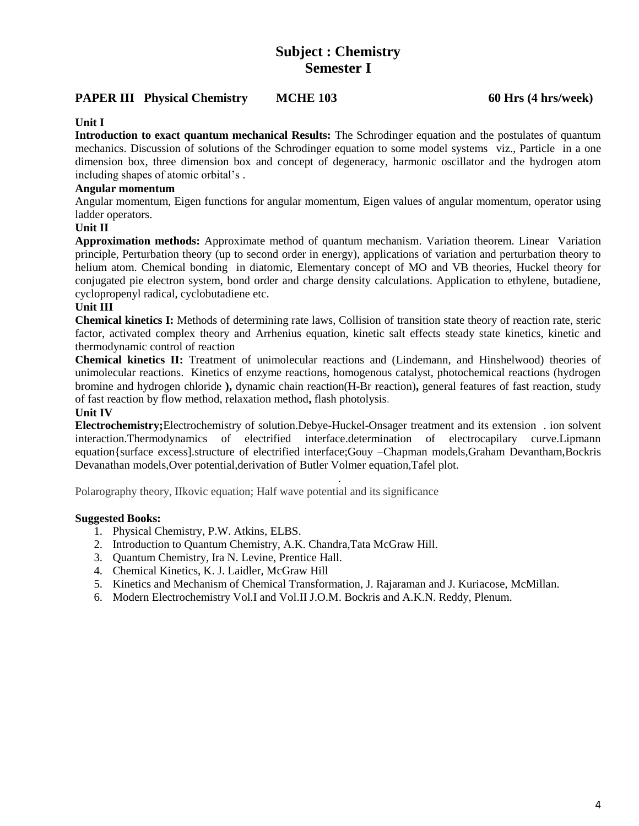## **Subject : Chemistry Semester I**

### **PAPER III** Physical Chemistry MCHE 103 60 Hrs (4 hrs/week)

### **Unit I**

**Introduction to exact quantum mechanical Results:** The Schrodinger equation and the postulates of quantum mechanics. Discussion of solutions of the Schrodinger equation to some model systems viz., Particle in a one dimension box, three dimension box and concept of degeneracy, harmonic oscillator and the hydrogen atom including shapes of atomic orbital's .

### **Angular momentum**

Angular momentum, Eigen functions for angular momentum, Eigen values of angular momentum, operator using ladder operators.

### **Unit II**

**Approximation methods:** Approximate method of quantum mechanism. Variation theorem. Linear Variation principle, Perturbation theory (up to second order in energy), applications of variation and perturbation theory to helium atom. Chemical bonding in diatomic, Elementary concept of MO and VB theories, Huckel theory for conjugated pie electron system, bond order and charge density calculations. Application to ethylene, butadiene, cyclopropenyl radical, cyclobutadiene etc.

### **Unit III**

**Chemical kinetics I:** Methods of determining rate laws, Collision of transition state theory of reaction rate, steric factor, activated complex theory and Arrhenius equation, kinetic salt effects steady state kinetics, kinetic and thermodynamic control of reaction

**Chemical kinetics II:** Treatment of unimolecular reactions and (Lindemann, and Hinshelwood) theories of unimolecular reactions. Kinetics of enzyme reactions, homogenous catalyst, photochemical reactions (hydrogen bromine and hydrogen chloride **),** dynamic chain reaction(H-Br reaction)**,** general features of fast reaction, study of fast reaction by flow method, relaxation method**,** flash photolysis.

### **Unit IV**

**Electrochemistry;**Electrochemistry of solution.Debye-Huckel-Onsager treatment and its extension . ion solvent interaction.Thermodynamics of electrified interface.determination of electrocapilary curve.Lipmann equation{surface excess].structure of electrified interface;Gouy –Chapman models,Graham Devantham,Bockris Devanathan models,Over potential,derivation of Butler Volmer equation,Tafel plot.

.

Polarography theory, IIkovic equation; Half wave potential and its significance

- 1. Physical Chemistry, P.W. Atkins, ELBS.
- 2. Introduction to Quantum Chemistry, A.K. Chandra,Tata McGraw Hill.
- 3. Quantum Chemistry, Ira N. Levine, Prentice Hall.
- 4. Chemical Kinetics, K. J. Laidler, McGraw Hill
- 5. Kinetics and Mechanism of Chemical Transformation, J. Rajaraman and J. Kuriacose, McMillan.
- 6. Modern Electrochemistry Vol.I and Vol.II J.O.M. Bockris and A.K.N. Reddy, Plenum.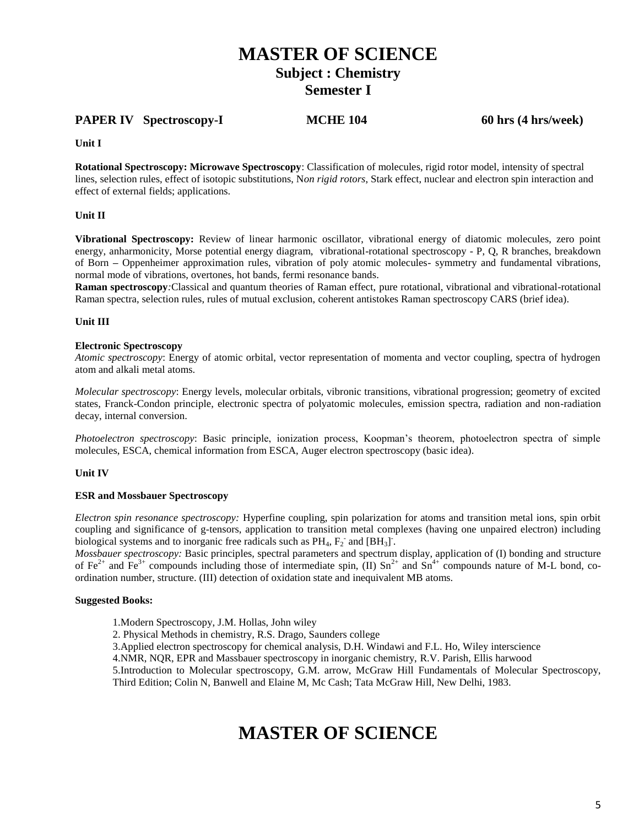### **PAPER IV Spectroscopy-I MCHE 104 60 hrs (4 hrs/week)**

**Unit I** 

**Rotational Spectroscopy: Microwave Spectroscopy**: Classification of molecules, rigid rotor model, intensity of spectral lines, selection rules, effect of isotopic substitutions, N*on rigid rotors*, Stark effect, nuclear and electron spin interaction and effect of external fields; applications.

### **Unit II**

**Vibrational Spectroscopy:** Review of linear harmonic oscillator, vibrational energy of diatomic molecules, zero point energy, anharmonicity, Morse potential energy diagram, vibrational-rotational spectroscopy - P, Q, R branches, breakdown of Born **–** Oppenheimer approximation rules, vibration of poly atomic molecules- symmetry and fundamental vibrations, normal mode of vibrations, overtones, hot bands, fermi resonance bands.

**Raman spectroscopy***:*Classical and quantum theories of Raman effect, pure rotational, vibrational and vibrational-rotational Raman spectra, selection rules, rules of mutual exclusion, coherent antistokes Raman spectroscopy CARS (brief idea).

### **Unit III**

#### **Electronic Spectroscopy**

*Atomic spectroscopy*: Energy of atomic orbital, vector representation of momenta and vector coupling, spectra of hydrogen atom and alkali metal atoms.

*Molecular spectroscopy*: Energy levels, molecular orbitals, vibronic transitions, vibrational progression; geometry of excited states, Franck-Condon principle, electronic spectra of polyatomic molecules, emission spectra, radiation and non-radiation decay, internal conversion.

*Photoelectron spectroscopy*: Basic principle, ionization process, Koopman's theorem, photoelectron spectra of simple molecules, ESCA, chemical information from ESCA, Auger electron spectroscopy (basic idea).

### **Unit IV**

### **ESR and Mossbauer Spectroscopy**

*Electron spin resonance spectroscopy:* Hyperfine coupling, spin polarization for atoms and transition metal ions, spin orbit coupling and significance of g-tensors, application to transition metal complexes (having one unpaired electron) including biological systems and to inorganic free radicals such as  $PH_4$ ,  $F_2$  and  $[BH_3]$ .

*Mossbauer spectroscopy:* Basic principles, spectral parameters and spectrum display, application of (I) bonding and structure of Fe<sup>2+</sup> and Fe<sup>3+</sup> compounds including those of intermediate spin, (II) Sn<sup>2+</sup> and Sn<sup>4+</sup> compounds nature of M-L bond, coordination number, structure. (III) detection of oxidation state and inequivalent MB atoms.

### **Suggested Books:**

- 1.Modern Spectroscopy, J.M. Hollas, John wiley
- 2. Physical Methods in chemistry, R.S. Drago, Saunders college

3.Applied electron spectroscopy for chemical analysis, D.H. Windawi and F.L. Ho, Wiley interscience

4.NMR, NQR, EPR and Massbauer spectroscopy in inorganic chemistry, R.V. Parish, Ellis harwood

5.Introduction to Molecular spectroscopy, G.M. arrow, McGraw Hill Fundamentals of Molecular Spectroscopy, Third Edition; Colin N, Banwell and Elaine M, Mc Cash; Tata McGraw Hill, New Delhi, 1983.

# **MASTER OF SCIENCE**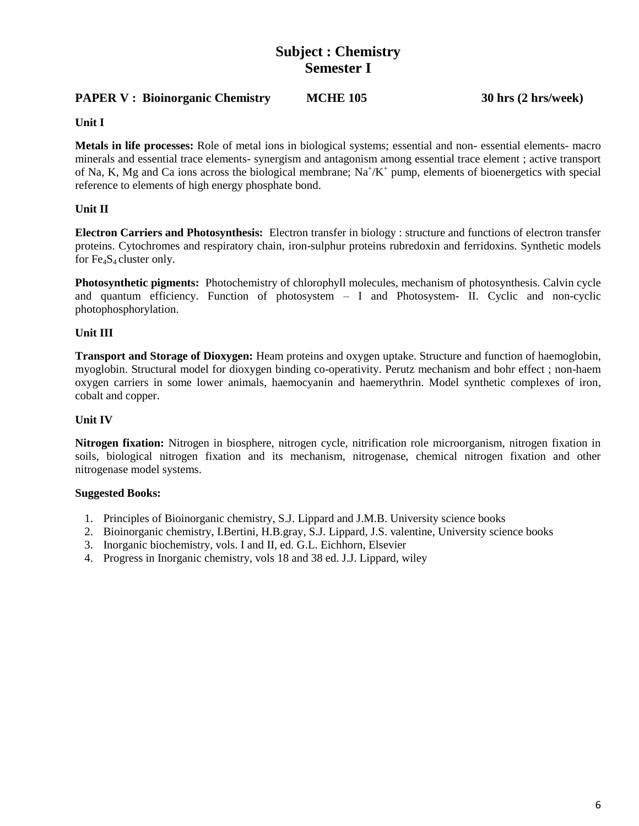## **Subject : Chemistry Semester I**

### **PAPER V : Bioinorganic Chemistry MCHE 105 30 hrs (2 hrs/week)**

**Unit I**

**Metals in life processes:** Role of metal ions in biological systems; essential and non- essential elements- macro minerals and essential trace elements- synergism and antagonism among essential trace element ; active transport of Na, K, Mg and Ca ions across the biological membrane;  $Na^{+}/K^{+}$  pump, elements of bioenergetics with special reference to elements of high energy phosphate bond.

### **Unit II**

**Electron Carriers and Photosynthesis:** Electron transfer in biology : structure and functions of electron transfer proteins. Cytochromes and respiratory chain, iron-sulphur proteins rubredoxin and ferridoxins. Synthetic models for  $Fe<sub>4</sub>S<sub>4</sub>$  cluster only.

**Photosynthetic pigments:** Photochemistry of chlorophyll molecules, mechanism of photosynthesis. Calvin cycle and quantum efficiency. Function of photosystem  $-$  I and Photosystem- II. Cyclic and non-cyclic photophosphorylation.

### **Unit III**

**Transport and Storage of Dioxygen:** Heam proteins and oxygen uptake. Structure and function of haemoglobin, myoglobin. Structural model for dioxygen binding co-operativity. Perutz mechanism and bohr effect ; non-haem oxygen carriers in some lower animals, haemocyanin and haemerythrin. Model synthetic complexes of iron, cobalt and copper.

### **Unit IV**

**Nitrogen fixation:** Nitrogen in biosphere, nitrogen cycle, nitrification role microorganism, nitrogen fixation in soils, biological nitrogen fixation and its mechanism, nitrogenase, chemical nitrogen fixation and other nitrogenase model systems.

- 1. Principles of Bioinorganic chemistry, S.J. Lippard and J.M.B. University science books
- 2. Bioinorganic chemistry, I.Bertini, H.B.gray, S.J. Lippard, J.S. valentine, University science books
- 3. Inorganic biochemistry, vols. I and II, ed. G.L. Eichhorn, Elsevier
- 4. Progress in Inorganic chemistry, vols 18 and 38 ed. J.J. Lippard, wiley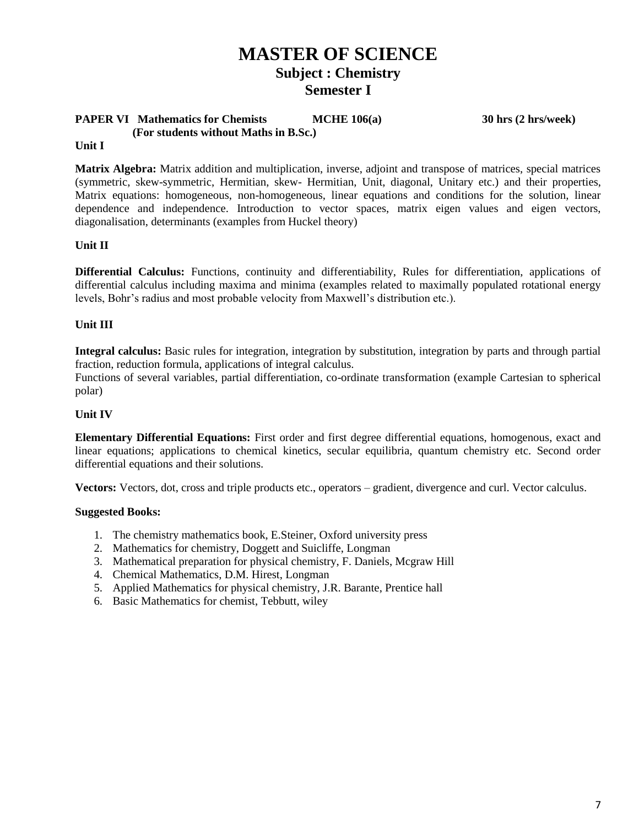### **PAPER VI Mathematics for Chemists MCHE 106(a)** 30 hrs (2 hrs/week)  **(For students without Maths in B.Sc.)**

### **Unit I**

**Matrix Algebra:** Matrix addition and multiplication, inverse, adjoint and transpose of matrices, special matrices (symmetric, skew-symmetric, Hermitian, skew- Hermitian, Unit, diagonal, Unitary etc.) and their properties, Matrix equations: homogeneous, non-homogeneous, linear equations and conditions for the solution, linear dependence and independence. Introduction to vector spaces, matrix eigen values and eigen vectors, diagonalisation, determinants (examples from Huckel theory)

### **Unit II**

**Differential Calculus:** Functions, continuity and differentiability, Rules for differentiation, applications of differential calculus including maxima and minima (examples related to maximally populated rotational energy levels, Bohr's radius and most probable velocity from Maxwell's distribution etc.).

### **Unit III**

**Integral calculus:** Basic rules for integration, integration by substitution, integration by parts and through partial fraction, reduction formula, applications of integral calculus.

Functions of several variables, partial differentiation, co-ordinate transformation (example Cartesian to spherical polar)

### **Unit IV**

**Elementary Differential Equations:** First order and first degree differential equations, homogenous, exact and linear equations; applications to chemical kinetics, secular equilibria, quantum chemistry etc. Second order differential equations and their solutions.

**Vectors:** Vectors, dot, cross and triple products etc., operators – gradient, divergence and curl. Vector calculus.

- 1. The chemistry mathematics book, E.Steiner, Oxford university press
- 2. Mathematics for chemistry, Doggett and Suicliffe, Longman
- 3. Mathematical preparation for physical chemistry, F. Daniels, Mcgraw Hill
- 4. Chemical Mathematics, D.M. Hirest, Longman
- 5. Applied Mathematics for physical chemistry, J.R. Barante, Prentice hall
- 6. Basic Mathematics for chemist, Tebbutt, wiley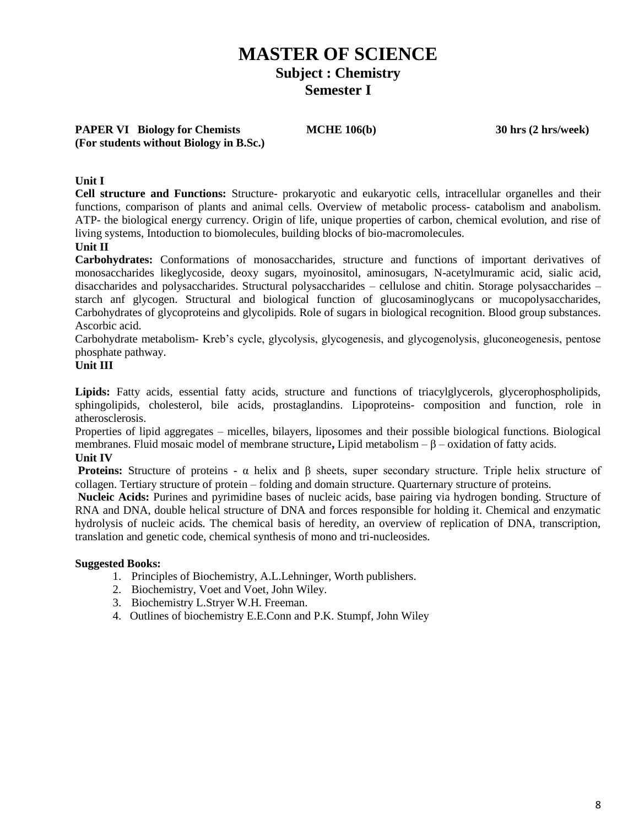**PAPER VI Biology for Chemists MCHE 106(b) 30 hrs (2 hrs/week) (For students without Biology in B.Sc.)**

### **Unit I**

**Cell structure and Functions:** Structure- prokaryotic and eukaryotic cells, intracellular organelles and their functions, comparison of plants and animal cells. Overview of metabolic process- catabolism and anabolism. ATP- the biological energy currency. Origin of life, unique properties of carbon, chemical evolution, and rise of living systems, Intoduction to biomolecules, building blocks of bio-macromolecules.

### **Unit II**

**Carbohydrates:** Conformations of monosaccharides, structure and functions of important derivatives of monosaccharides likeglycoside, deoxy sugars, myoinositol, aminosugars, N-acetylmuramic acid, sialic acid, disaccharides and polysaccharides. Structural polysaccharides – cellulose and chitin. Storage polysaccharides – starch anf glycogen. Structural and biological function of glucosaminoglycans or mucopolysaccharides, Carbohydrates of glycoproteins and glycolipids. Role of sugars in biological recognition. Blood group substances. Ascorbic acid.

Carbohydrate metabolism- Kreb's cycle, glycolysis, glycogenesis, and glycogenolysis, gluconeogenesis, pentose phosphate pathway.

### **Unit III**

**Lipids:** Fatty acids, essential fatty acids, structure and functions of triacylglycerols, glycerophospholipids, sphingolipids, cholesterol, bile acids, prostaglandins. Lipoproteins- composition and function, role in atherosclerosis.

Properties of lipid aggregates – micelles, bilayers, liposomes and their possible biological functions. Biological membranes. Fluid mosaic model of membrane structure**,** Lipid metabolism – β – oxidation of fatty acids. **Unit IV**

**Proteins:** Structure of proteins - α helix and β sheets, super secondary structure. Triple helix structure of collagen. Tertiary structure of protein – folding and domain structure. Quarternary structure of proteins.

**Nucleic Acids:** Purines and pyrimidine bases of nucleic acids, base pairing via hydrogen bonding. Structure of RNA and DNA, double helical structure of DNA and forces responsible for holding it. Chemical and enzymatic hydrolysis of nucleic acids. The chemical basis of heredity, an overview of replication of DNA, transcription, translation and genetic code, chemical synthesis of mono and tri-nucleosides.

- 1. Principles of Biochemistry, A.L.Lehninger, Worth publishers.
- 2. Biochemistry, Voet and Voet, John Wiley.
- 3. Biochemistry L.Stryer W.H. Freeman.
- 4. Outlines of biochemistry E.E.Conn and P.K. Stumpf, John Wiley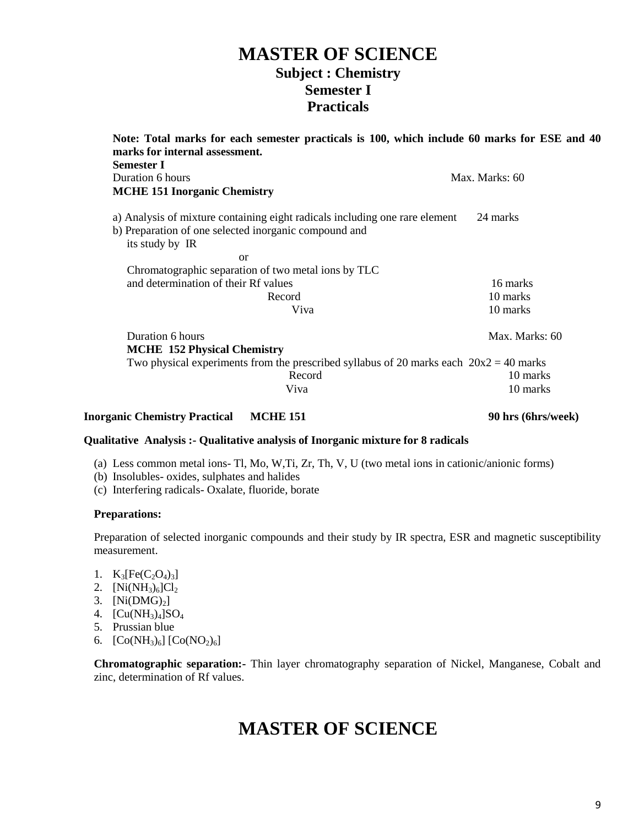## **MASTER OF SCIENCE Subject : Chemistry Semester I Practicals**

| Note: Total marks for each semester practicals is 100, which include 60 marks for ESE and 40 |                |  |  |  |  |
|----------------------------------------------------------------------------------------------|----------------|--|--|--|--|
| marks for internal assessment.<br><b>Semester I</b>                                          |                |  |  |  |  |
| Duration 6 hours                                                                             | Max. Marks: 60 |  |  |  |  |
| <b>MCHE 151 Inorganic Chemistry</b>                                                          |                |  |  |  |  |
| a) Analysis of mixture containing eight radicals including one rare element                  | 24 marks       |  |  |  |  |
| b) Preparation of one selected inorganic compound and                                        |                |  |  |  |  |
| its study by IR                                                                              |                |  |  |  |  |
| or                                                                                           |                |  |  |  |  |
| Chromatographic separation of two metal ions by TLC                                          |                |  |  |  |  |
| and determination of their Rf values                                                         | 16 marks       |  |  |  |  |
| Record                                                                                       | 10 marks       |  |  |  |  |
| Viva                                                                                         | 10 marks       |  |  |  |  |
| Duration 6 hours                                                                             | Max. Marks: 60 |  |  |  |  |
| <b>MCHE</b> 152 Physical Chemistry                                                           |                |  |  |  |  |
| Two physical experiments from the prescribed syllabus of 20 marks each $20x^2 = 40$ marks    |                |  |  |  |  |
| Record                                                                                       | 10 marks       |  |  |  |  |
| Viva                                                                                         | 10 marks       |  |  |  |  |
|                                                                                              |                |  |  |  |  |

### **Inorganic Chemistry Practical MCHE 151 90 hrs (6hrs/week)**

### **Qualitative Analysis :- Qualitative analysis of Inorganic mixture for 8 radicals**

- (a) Less common metal ions- Tl, Mo, W,Ti, Zr, Th, V, U (two metal ions in cationic/anionic forms)
- (b) Insolubles- oxides, sulphates and halides
- (c) Interfering radicals- Oxalate, fluoride, borate

### **Preparations:**

Preparation of selected inorganic compounds and their study by IR spectra, ESR and magnetic susceptibility measurement.

- 1.  $K_3[Fe(C_2O_4)_3]$
- 2.  $[Ni(NH_3)_6]Cl_2$
- 3.  $[Ni(DMG)<sub>2</sub>]$
- 4.  $[Cu(NH_3)_4]SO_4$
- 5. Prussian blue
- 6.  $[Co(NH_3)_6]$   $[Co(NO_2)_6]$

**Chromatographic separation:-** Thin layer chromatography separation of Nickel, Manganese, Cobalt and zinc, determination of Rf values.

## **MASTER OF SCIENCE**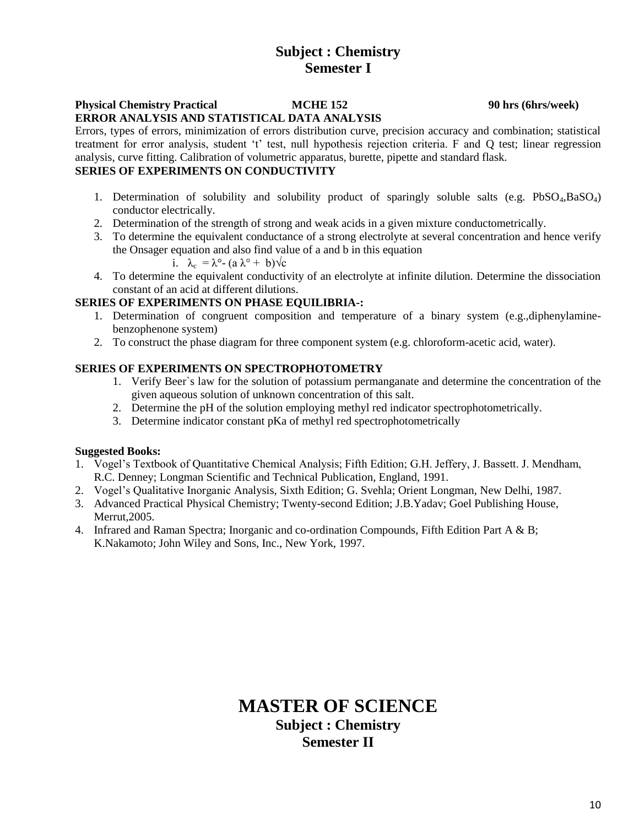### **Subject : Chemistry Semester I**

### **Physical Chemistry Practical MCHE 152 90 hrs (6hrs/week) ERROR ANALYSIS AND STATISTICAL DATA ANALYSIS**

Errors, types of errors, minimization of errors distribution curve, precision accuracy and combination; statistical treatment for error analysis, student 't' test, null hypothesis rejection criteria. F and Q test; linear regression analysis, curve fitting. Calibration of volumetric apparatus, burette, pipette and standard flask.

### **SERIES OF EXPERIMENTS ON CONDUCTIVITY**

- 1. Determination of solubility and solubility product of sparingly soluble salts (e.g. PbSO4,BaSO4) conductor electrically.
- 2. Determination of the strength of strong and weak acids in a given mixture conductometrically.
- 3. To determine the equivalent conductance of a strong electrolyte at several concentration and hence verify the Onsager equation and also find value of a and b in this equation
	- i.  $\lambda_c = \lambda^{\circ} (a \lambda^{\circ} + b) \sqrt{c}$
- 4. To determine the equivalent conductivity of an electrolyte at infinite dilution. Determine the dissociation constant of an acid at different dilutions.

### **SERIES OF EXPERIMENTS ON PHASE EQUILIBRIA-:**

- 1. Determination of congruent composition and temperature of a binary system (e.g.,diphenylaminebenzophenone system)
- 2. To construct the phase diagram for three component system (e.g. chloroform-acetic acid, water).

### **SERIES OF EXPERIMENTS ON SPECTROPHOTOMETRY**

- 1. Verify Beer`s law for the solution of potassium permanganate and determine the concentration of the given aqueous solution of unknown concentration of this salt.
- 2. Determine the pH of the solution employing methyl red indicator spectrophotometrically.
- 3. Determine indicator constant pKa of methyl red spectrophotometrically

### **Suggested Books:**

- 1. Vogel's Textbook of Quantitative Chemical Analysis; Fifth Edition; G.H. Jeffery, J. Bassett. J. Mendham, R.C. Denney; Longman Scientific and Technical Publication, England, 1991.
- 2. Vogel's Qualitative Inorganic Analysis, Sixth Edition; G. Svehla; Orient Longman, New Delhi, 1987.
- 3. Advanced Practical Physical Chemistry; Twenty-second Edition; J.B.Yadav; Goel Publishing House, Merrut,2005.
- 4. Infrared and Raman Spectra; Inorganic and co-ordination Compounds, Fifth Edition Part A & B; K.Nakamoto; John Wiley and Sons, Inc., New York, 1997.

## **MASTER OF SCIENCE Subject : Chemistry Semester II**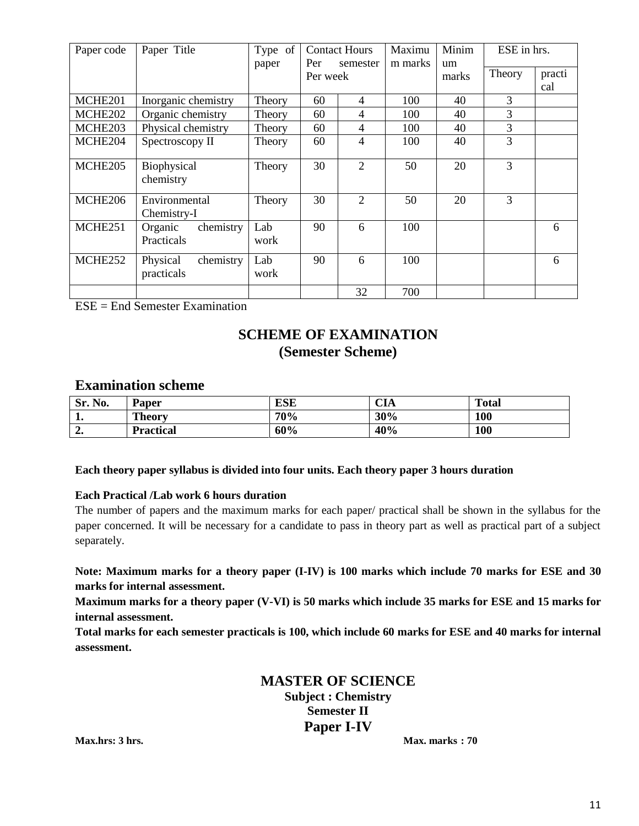| Paper code | Paper Title                         | Type of     |                 | <b>Contact Hours</b>        | Maximu  | Minim       | ESE in hrs.    |               |
|------------|-------------------------------------|-------------|-----------------|-----------------------------|---------|-------------|----------------|---------------|
|            |                                     | paper       | Per<br>Per week | semester                    | m marks | um<br>marks | Theory         | practi<br>cal |
| MCHE201    | Inorganic chemistry                 | Theory      | 60              | 4                           | 100     | 40          | 3              |               |
| MCHE202    | Organic chemistry                   | Theory      | 60              | 4                           | 100     | 40          | $\overline{3}$ |               |
| MCHE203    | Physical chemistry                  | Theory      | 60              | $\overline{4}$              | 100     | 40          | $\overline{3}$ |               |
| MCHE204    | Spectroscopy II                     | Theory      | 60              | 4                           | 100     | 40          | 3              |               |
| MCHE205    | Biophysical<br>chemistry            | Theory      | 30              | $\overline{2}$              | 50      | 20          | 3              |               |
| MCHE206    | Environmental<br>Chemistry-I        | Theory      | 30              | $\mathcal{D}_{\mathcal{L}}$ | 50      | 20          | 3              |               |
| MCHE251    | chemistry<br>Organic<br>Practicals  | Lab<br>work | 90              | 6                           | 100     |             |                | 6             |
| MCHE252    | chemistry<br>Physical<br>practicals | Lab<br>work | 90              | 6                           | 100     |             |                | 6             |
|            |                                     |             |                 | 32                          | 700     |             |                |               |

 $ESE = End$  Semester Examination

## **SCHEME OF EXAMINATION (Semester Scheme)**

### **Examination scheme**

| No.<br>Sr. | Paper            | ESE | CIA | <b>Total</b> |
|------------|------------------|-----|-----|--------------|
| . .        | <b>Theory</b>    | 70% | 30% | 100          |
| ە ب        | <b>Practical</b> | 60% | 40% | 100          |

### **Each theory paper syllabus is divided into four units. Each theory paper 3 hours duration**

### **Each Practical /Lab work 6 hours duration**

The number of papers and the maximum marks for each paper/ practical shall be shown in the syllabus for the paper concerned. It will be necessary for a candidate to pass in theory part as well as practical part of a subject separately.

**Note: Maximum marks for a theory paper (I-IV) is 100 marks which include 70 marks for ESE and 30 marks for internal assessment.**

**Maximum marks for a theory paper (V-VI) is 50 marks which include 35 marks for ESE and 15 marks for internal assessment.**

**Total marks for each semester practicals is 100, which include 60 marks for ESE and 40 marks for internal assessment.**

> **MASTER OF SCIENCE Subject : Chemistry Semester II Paper I-IV**

**Max.hrs: 3 hrs. Max. marks : 70**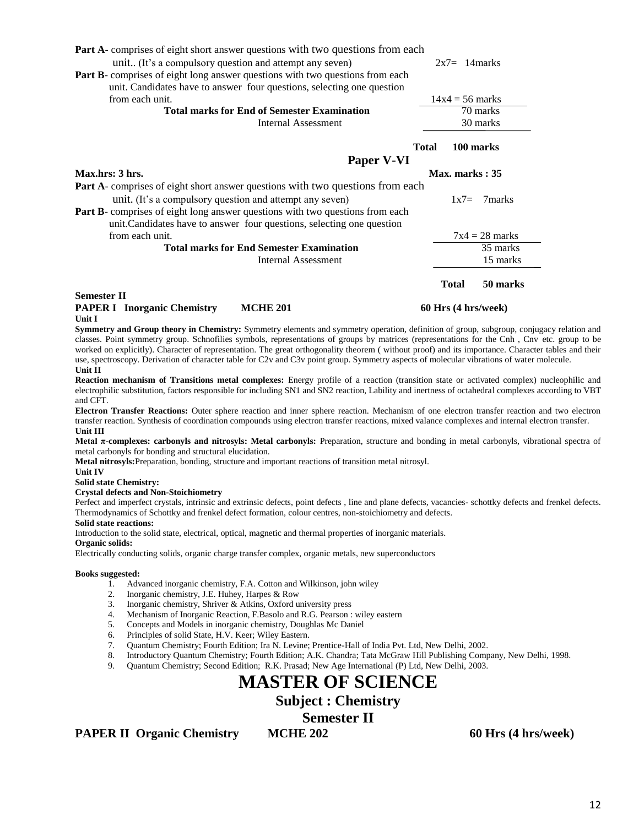| <b>Part A</b> -comprises of eight short answer questions with two questions from each |              |                     |
|---------------------------------------------------------------------------------------|--------------|---------------------|
| unit (It's a compulsory question and attempt any seven)                               |              | $2x7 = 14$ marks    |
| Part B- comprises of eight long answer questions with two questions from each         |              |                     |
| unit. Candidates have to answer four questions, selecting one question                |              |                     |
| from each unit.                                                                       |              | $14x4 = 56$ marks   |
| <b>Total marks for End of Semester Examination</b>                                    |              | 70 marks            |
| <b>Internal Assessment</b>                                                            |              | 30 marks            |
|                                                                                       | <b>Total</b> | 100 marks           |
| Paper V-VI                                                                            |              |                     |
| Max.hrs: 3 hrs.                                                                       |              | Max. marks: 35      |
| Part A- comprises of eight short answer questions with two questions from each        |              |                     |
| unit. (It's a compulsory question and attempt any seven)                              |              | 7marks<br>$1x7=$    |
| Part B- comprises of eight long answer questions with two questions from each         |              |                     |
| unit. Candidates have to answer four questions, selecting one question                |              |                     |
| from each unit.                                                                       |              | $7x4 = 28$ marks    |
| <b>Total marks for End Semester Examination</b>                                       |              | 35 marks            |
| <b>Internal Assessment</b>                                                            |              | 15 marks            |
|                                                                                       | <b>Total</b> | 50 marks            |
| <b>Semester II</b>                                                                    |              |                     |
| <b>PAPER I</b> Inorganic Chemistry<br><b>MCHE 201</b><br>Unit I                       |              | 60 Hrs (4 hrs/week) |

**Symmetry and Group theory in Chemistry:** Symmetry elements and symmetry operation, definition of group, subgroup, conjugacy relation and classes. Point symmetry group. Schnofilies symbols, representations of groups by matrices (representations for the Cnh , Cnv etc. group to be worked on explicitly). Character of representation. The great orthogonality theorem ( without proof) and its importance. Character tables and their use, spectroscopy. Derivation of character table for C2v and C3v point group. Symmetry aspects of molecular vibrations of water molecule. **Unit II**

**Reaction mechanism of Transitions metal complexes:** Energy profile of a reaction (transition state or activated complex) nucleophilic and electrophilic substitution, factors responsible for including SN1 and SN2 reaction, Lability and inertness of octahedral complexes according to VBT and CFT.

**Electron Transfer Reactions:** Outer sphere reaction and inner sphere reaction. Mechanism of one electron transfer reaction and two electron transfer reaction. Synthesis of coordination compounds using electron transfer reactions, mixed valance complexes and internal electron transfer. **Unit III**

**Metal π-complexes: carbonyls and nitrosyls: Metal carbonyls:** Preparation, structure and bonding in metal carbonyls, vibrational spectra of metal carbonyls for bonding and structural elucidation.

**Metal nitrosyls:**Preparation, bonding, structure and important reactions of transition metal nitrosyl.

**Unit IV** 

**Solid state Chemistry:**

#### **Crystal defects and Non-Stoichiometry**

Perfect and imperfect crystals, intrinsic and extrinsic defects, point defects , line and plane defects, vacancies- schottky defects and frenkel defects. Thermodynamics of Schottky and frenkel defect formation, colour centres, non-stoichiometry and defects.

**Solid state reactions:**

Introduction to the solid state, electrical, optical, magnetic and thermal properties of inorganic materials. **Organic solids:**

Electrically conducting solids, organic charge transfer complex, organic metals, new superconductors

#### **Books suggested:**

- 1. Advanced inorganic chemistry, F.A. Cotton and Wilkinson, john wiley<br>2. Inorganic chemistry, J.E. Huhey, Harpes & Row
- 2. Inorganic chemistry, J.E. Huhey, Harpes & Row<br>3. Inorganic chemistry, Shriver & Atkins. Oxford u
- 3. Inorganic chemistry, Shriver & Atkins, Oxford university press
- 4. Mechanism of Inorganic Reaction, F.Basolo and R.G. Pearson : wiley eastern
- 5. Concepts and Models in inorganic chemistry, Doughlas Mc Daniel
- 6. Principles of solid State, H.V. Keer; Wiley Eastern.
- 7. Quantum Chemistry; Fourth Edition; Ira N. Levine; Prentice-Hall of India Pvt. Ltd, New Delhi, 2002.
- 8. Introductory Quantum Chemistry; Fourth Edition; A.K. Chandra; Tata McGraw Hill Publishing Company, New Delhi, 1998.
- 9. Quantum Chemistry; Second Edition; R.K. Prasad; New Age International (P) Ltd, New Delhi, 2003.

## **MASTER OF SCIENCE**

**Subject : Chemistry**

**Semester II**

**PAPER II Organic Chemistry MCHE 202 60 Hrs (4 hrs/week)**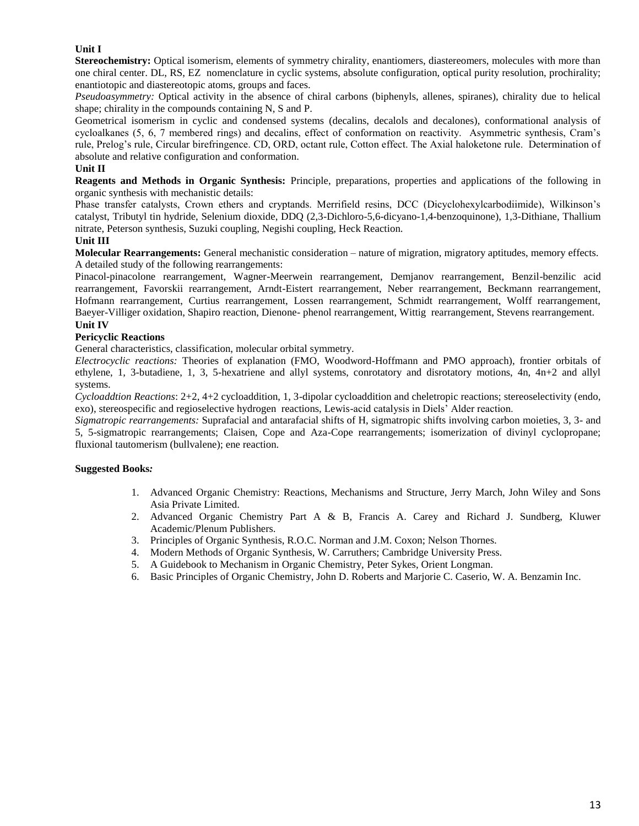### **Unit I**

Stereochemistry: Optical isomerism, elements of symmetry chirality, enantiomers, diastereomers, molecules with more than one chiral center. DL, RS, EZ nomenclature in cyclic systems, absolute configuration, optical purity resolution, prochirality; enantiotopic and diastereotopic atoms, groups and faces.

*Pseudoasymmetry:* Optical activity in the absence of chiral carbons (biphenyls, allenes, spiranes), chirality due to helical shape; chirality in the compounds containing N, S and P.

Geometrical isomerism in cyclic and condensed systems (decalins, decalols and decalones), conformational analysis of cycloalkanes (5, 6, 7 membered rings) and decalins, effect of conformation on reactivity. Asymmetric synthesis, Cram's rule, Prelog's rule, Circular birefringence. CD, ORD, octant rule, Cotton effect. The Axial haloketone rule. Determination of absolute and relative configuration and conformation.

### **Unit II**

**Reagents and Methods in Organic Synthesis:** Principle, preparations, properties and applications of the following in organic synthesis with mechanistic details:

Phase transfer catalysts, Crown ethers and cryptands. Merrifield resins, DCC (Dicyclohexylcarbodiimide), Wilkinson's catalyst, Tributyl tin hydride, Selenium dioxide, DDQ (2,3-Dichloro-5,6-dicyano-1,4-benzoquinone), 1,3-Dithiane, Thallium nitrate, Peterson synthesis, Suzuki coupling, Negishi coupling, Heck Reaction.

#### **Unit III**

**Molecular Rearrangements:** General mechanistic consideration – nature of migration, migratory aptitudes, memory effects. A detailed study of the following rearrangements:

Pinacol-pinacolone rearrangement, Wagner-Meerwein rearrangement, Demjanov rearrangement, Benzil-benzilic acid rearrangement, Favorskii rearrangement, Arndt-Eistert rearrangement, Neber rearrangement, Beckmann rearrangement, Hofmann rearrangement, Curtius rearrangement, Lossen rearrangement, Schmidt rearrangement, Wolff rearrangement, Baeyer-Villiger oxidation, Shapiro reaction, Dienone- phenol rearrangement, Wittig rearrangement, Stevens rearrangement. **Unit IV**

### **Pericyclic Reactions**

General characteristics, classification, molecular orbital symmetry.

*Electrocyclic reactions:* Theories of explanation (FMO, Woodword-Hoffmann and PMO approach), frontier orbitals of ethylene, 1, 3-butadiene, 1, 3, 5-hexatriene and allyl systems, conrotatory and disrotatory motions, 4n, 4n+2 and allyl systems.

*Cycloaddtion Reactions*: 2+2, 4+2 cycloaddition, 1, 3-dipolar cycloaddition and cheletropic reactions; stereoselectivity (endo, exo), stereospecific and regioselective hydrogen reactions, Lewis-acid catalysis in Diels' Alder reaction.

*Sigmatropic rearrangements:* Suprafacial and antarafacial shifts of H, sigmatropic shifts involving carbon moieties, 3, 3- and 5, 5-sigmatropic rearrangements; Claisen, Cope and Aza-Cope rearrangements; isomerization of divinyl cyclopropane; fluxional tautomerism (bullvalene); ene reaction.

- 1. Advanced Organic Chemistry: Reactions, Mechanisms and Structure, Jerry March, John Wiley and Sons Asia Private Limited.
- 2. Advanced Organic Chemistry Part A & B, Francis A. Carey and Richard J. Sundberg, Kluwer Academic/Plenum Publishers.
- 3. Principles of Organic Synthesis, R.O.C. Norman and J.M. Coxon; Nelson Thornes.
- 4. Modern Methods of Organic Synthesis, W. Carruthers; Cambridge University Press.
- 5. A Guidebook to Mechanism in Organic Chemistry, Peter Sykes, Orient Longman.
- 6. Basic Principles of Organic Chemistry, John D. Roberts and Marjorie C. Caserio, W. A. Benzamin Inc.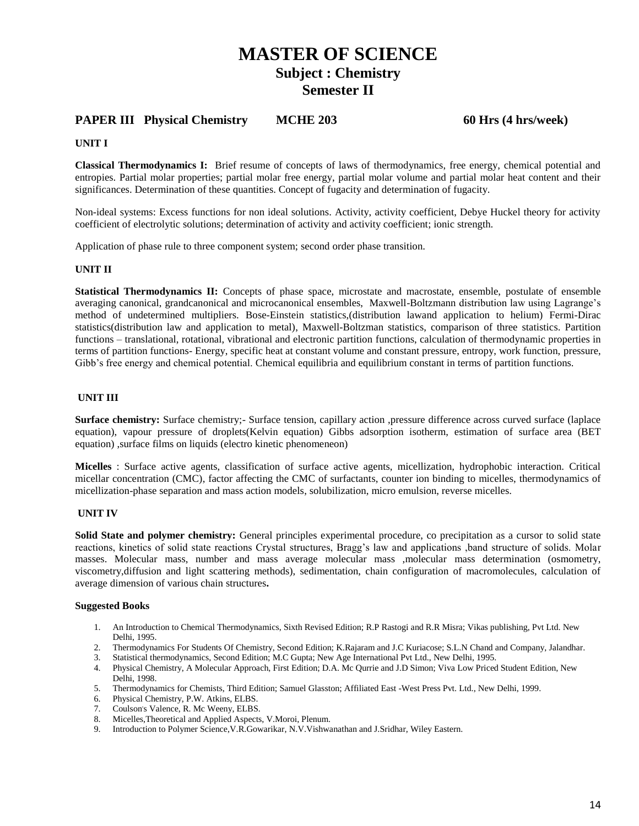### **PAPER III Physical Chemistry MCHE 203 60 Hrs (4 hrs/week)**

### **UNIT I**

**Classical Thermodynamics I:** Brief resume of concepts of laws of thermodynamics, free energy, chemical potential and entropies. Partial molar properties; partial molar free energy, partial molar volume and partial molar heat content and their significances. Determination of these quantities. Concept of fugacity and determination of fugacity.

Non-ideal systems: Excess functions for non ideal solutions. Activity, activity coefficient, Debye Huckel theory for activity coefficient of electrolytic solutions; determination of activity and activity coefficient; ionic strength.

Application of phase rule to three component system; second order phase transition.

### **UNIT II**

**Statistical Thermodynamics II:** Concepts of phase space, microstate and macrostate, ensemble, postulate of ensemble averaging canonical, grandcanonical and microcanonical ensembles, Maxwell-Boltzmann distribution law using Lagrange's method of undetermined multipliers. Bose-Einstein statistics,(distribution lawand application to helium) Fermi-Dirac statistics(distribution law and application to metal), Maxwell-Boltzman statistics, comparison of three statistics. Partition functions – translational, rotational, vibrational and electronic partition functions, calculation of thermodynamic properties in terms of partition functions- Energy, specific heat at constant volume and constant pressure, entropy, work function, pressure, Gibb's free energy and chemical potential. Chemical equilibria and equilibrium constant in terms of partition functions.

### **UNIT III**

**Surface chemistry:** Surface chemistry;- Surface tension, capillary action ,pressure difference across curved surface (laplace equation), vapour pressure of droplets(Kelvin equation) Gibbs adsorption isotherm, estimation of surface area (BET equation) ,surface films on liquids (electro kinetic phenomeneon)

**Micelles** : Surface active agents, classification of surface active agents, micellization, hydrophobic interaction. Critical micellar concentration (CMC), factor affecting the CMC of surfactants, counter ion binding to micelles, thermodynamics of micellization-phase separation and mass action models, solubilization, micro emulsion, reverse micelles.

### **UNIT IV**

**Solid State and polymer chemistry:** General principles experimental procedure, co precipitation as a cursor to solid state reactions, kinetics of solid state reactions Crystal structures, Bragg's law and applications ,band structure of solids. Molar masses. Molecular mass, number and mass average molecular mass ,molecular mass determination (osmometry, viscometry,diffusion and light scattering methods), sedimentation, chain configuration of macromolecules, calculation of average dimension of various chain structures**.** 

- 1. An Introduction to Chemical Thermodynamics, Sixth Revised Edition; R.P Rastogi and R.R Misra; Vikas publishing, Pvt Ltd. New Delhi, 1995.
- 2. Thermodynamics For Students Of Chemistry, Second Edition; K.Rajaram and J.C Kuriacose; S.L.N Chand and Company, Jalandhar.
- 3. Statistical thermodynamics, Second Edition; M.C Gupta; New Age International Pvt Ltd., New Delhi, 1995.
- 4. Physical Chemistry, A Molecular Approach, First Edition; D.A. Mc Qurrie and J.D Simon; Viva Low Priced Student Edition, New Delhi, 1998.
- 5. Thermodynamics for Chemists, Third Edition; Samuel Glasston; Affiliated East -West Press Pvt. Ltd., New Delhi, 1999.
- 6. Physical Chemistry, P.W. Atkins, ELBS.
- 7. Coulson's Valence, R. Mc Weeny, ELBS.
- 8. Micelles,Theoretical and Applied Aspects, V.Moroi, Plenum.
- 9. Introduction to Polymer Science,V.R.Gowarikar, N.V.Vishwanathan and J.Sridhar, Wiley Eastern.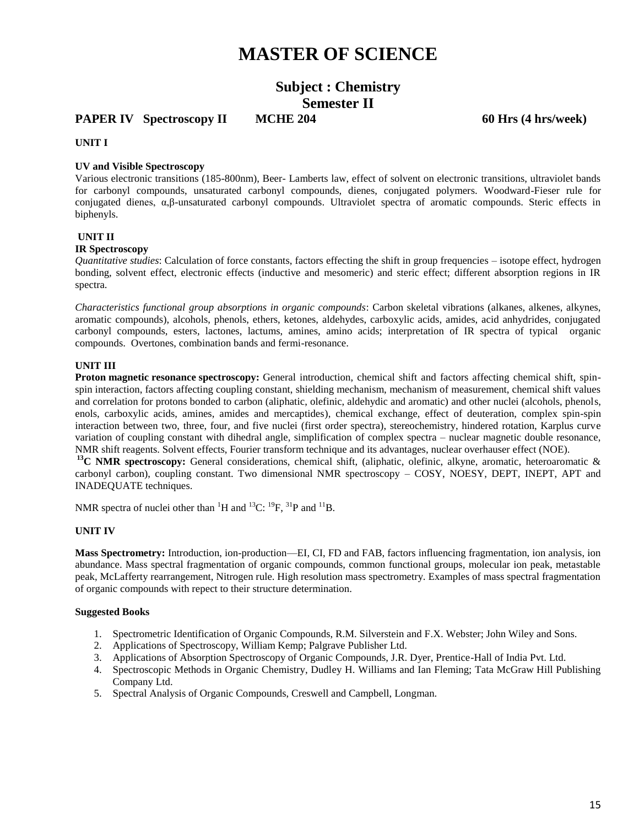# **MASTER OF SCIENCE**

## **Subject : Chemistry Semester II**

**PAPER IV** Spectroscopy II MCHE 204 60 Hrs (4 hrs/week)

**UNIT I** 

### **UV and Visible Spectroscopy**

Various electronic transitions (185-800nm), Beer- Lamberts law, effect of solvent on electronic transitions, ultraviolet bands for carbonyl compounds, unsaturated carbonyl compounds, dienes, conjugated polymers. Woodward-Fieser rule for conjugated dienes, α,β-unsaturated carbonyl compounds. Ultraviolet spectra of aromatic compounds. Steric effects in biphenyls.

#### **UNIT II**

#### **IR Spectroscopy**

*Quantitative studies*: Calculation of force constants, factors effecting the shift in group frequencies – isotope effect, hydrogen bonding, solvent effect, electronic effects (inductive and mesomeric) and steric effect; different absorption regions in IR spectra.

*Characteristics functional group absorptions in organic compounds*: Carbon skeletal vibrations (alkanes, alkenes, alkynes, aromatic compounds), alcohols, phenols, ethers, ketones, aldehydes, carboxylic acids, amides, acid anhydrides, conjugated carbonyl compounds, esters, lactones, lactums, amines, amino acids; interpretation of IR spectra of typical organic compounds. Overtones, combination bands and fermi-resonance.

#### **UNIT III**

**Proton magnetic resonance spectroscopy:** General introduction, chemical shift and factors affecting chemical shift, spinspin interaction, factors affecting coupling constant, shielding mechanism, mechanism of measurement, chemical shift values and correlation for protons bonded to carbon (aliphatic, olefinic, aldehydic and aromatic) and other nuclei (alcohols, phenols, enols, carboxylic acids, amines, amides and mercaptides), chemical exchange, effect of deuteration, complex spin-spin interaction between two, three, four, and five nuclei (first order spectra), stereochemistry, hindered rotation, Karplus curve variation of coupling constant with dihedral angle, simplification of complex spectra – nuclear magnetic double resonance, NMR shift reagents. Solvent effects, Fourier transform technique and its advantages, nuclear overhauser effect (NOE).

<sup>13</sup>C NMR spectroscopy: General considerations, chemical shift, (aliphatic, olefinic, alkyne, aromatic, heteroaromatic & carbonyl carbon), coupling constant. Two dimensional NMR spectroscopy – COSY, NOESY, DEPT, INEPT, APT and INADEQUATE techniques.

NMR spectra of nuclei other than  ${}^{1}H$  and  ${}^{13}C: {}^{19}F, {}^{31}P$  and  ${}^{11}B.$ 

### **UNIT IV**

**Mass Spectrometry:** Introduction, ion-production—EI, CI, FD and FAB, factors influencing fragmentation, ion analysis, ion abundance. Mass spectral fragmentation of organic compounds, common functional groups, molecular ion peak, metastable peak, McLafferty rearrangement, Nitrogen rule. High resolution mass spectrometry. Examples of mass spectral fragmentation of organic compounds with repect to their structure determination.

- 1. Spectrometric Identification of Organic Compounds, R.M. Silverstein and F.X. Webster; John Wiley and Sons.
- 2. Applications of Spectroscopy, William Kemp; Palgrave Publisher Ltd.
- 3. Applications of Absorption Spectroscopy of Organic Compounds, J.R. Dyer, Prentice-Hall of India Pvt. Ltd.
- 4. Spectroscopic Methods in Organic Chemistry, Dudley H. Williams and Ian Fleming; Tata McGraw Hill Publishing Company Ltd.
- 5. Spectral Analysis of Organic Compounds, Creswell and Campbell, Longman.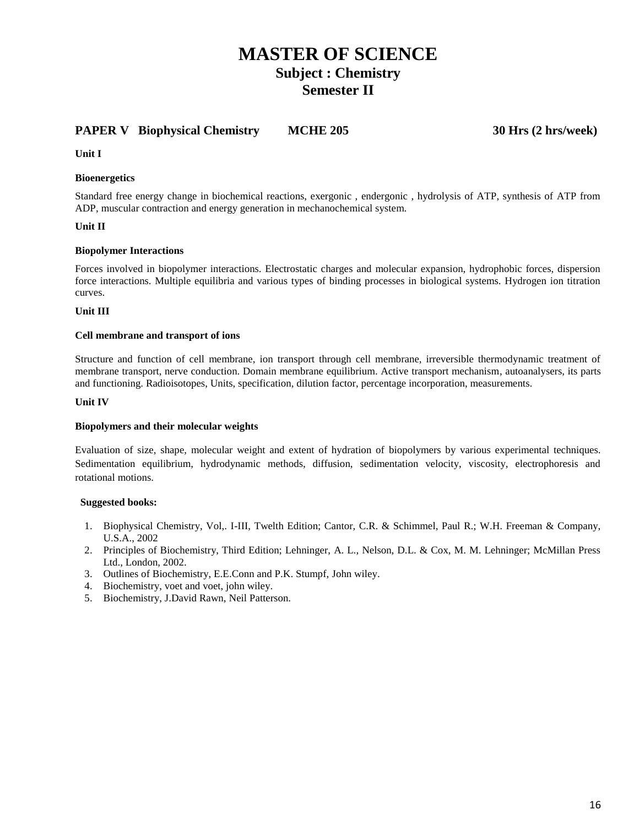### **PAPER V Biophysical Chemistry MCHE 205 30 Hrs (2 hrs/week)**

**Unit I** 

### **Bioenergetics**

Standard free energy change in biochemical reactions, exergonic , endergonic , hydrolysis of ATP, synthesis of ATP from ADP, muscular contraction and energy generation in mechanochemical system.

### **Unit II**

#### **Biopolymer Interactions**

Forces involved in biopolymer interactions. Electrostatic charges and molecular expansion, hydrophobic forces, dispersion force interactions. Multiple equilibria and various types of binding processes in biological systems. Hydrogen ion titration curves.

#### **Unit III**

#### **Cell membrane and transport of ions**

Structure and function of cell membrane, ion transport through cell membrane, irreversible thermodynamic treatment of membrane transport, nerve conduction. Domain membrane equilibrium. Active transport mechanism, autoanalysers, its parts and functioning. Radioisotopes, Units, specification, dilution factor, percentage incorporation, measurements.

#### **Unit IV**

### **Biopolymers and their molecular weights**

Evaluation of size, shape, molecular weight and extent of hydration of biopolymers by various experimental techniques. Sedimentation equilibrium, hydrodynamic methods, diffusion, sedimentation velocity, viscosity, electrophoresis and rotational motions.

- 1. Biophysical Chemistry, Vol,. I-III, Twelth Edition; Cantor, C.R. & Schimmel, Paul R.; W.H. Freeman & Company, U.S.A., 2002
- 2. Principles of Biochemistry, Third Edition; Lehninger, A. L., Nelson, D.L. & Cox, M. M. Lehninger; McMillan Press Ltd., London, 2002.
- 3. Outlines of Biochemistry, E.E.Conn and P.K. Stumpf, John wiley.
- 4. Biochemistry, voet and voet, john wiley.
- 5. Biochemistry, J.David Rawn, Neil Patterson.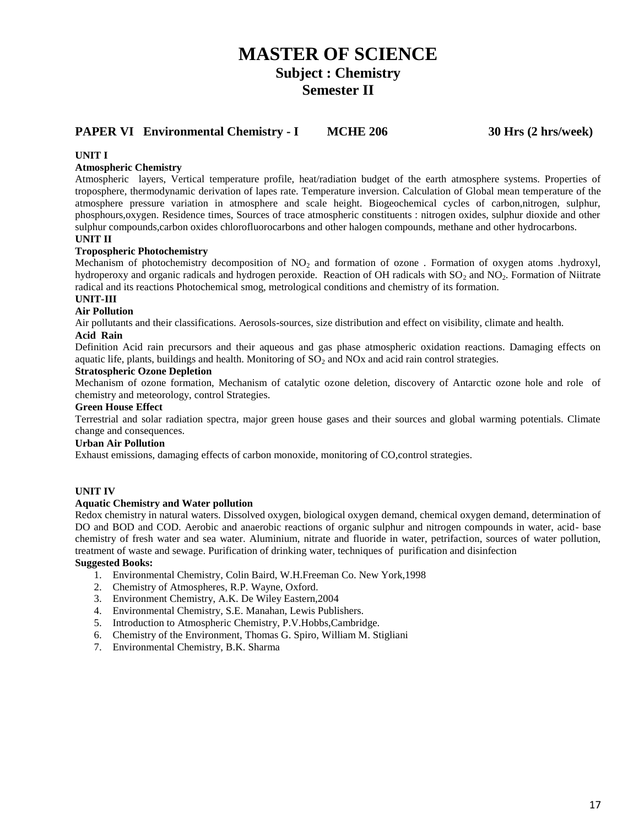### **PAPER VI Environmental Chemistry - I MCHE 206 30 Hrs (2 hrs/week)**

### **UNIT I**

### **Atmospheric Chemistry**

Atmospheric layers, Vertical temperature profile, heat/radiation budget of the earth atmosphere systems. Properties of troposphere, thermodynamic derivation of lapes rate. Temperature inversion. Calculation of Global mean temperature of the atmosphere pressure variation in atmosphere and scale height. Biogeochemical cycles of carbon,nitrogen, sulphur, phosphours,oxygen. Residence times, Sources of trace atmospheric constituents : nitrogen oxides, sulphur dioxide and other sulphur compounds,carbon oxides chlorofluorocarbons and other halogen compounds, methane and other hydrocarbons. **UNIT II**

#### **Tropospheric Photochemistry**

Mechanism of photochemistry decomposition of NO<sub>2</sub> and formation of ozone . Formation of oxygen atoms .hydroxyl, hydroperoxy and organic radicals and hydrogen peroxide. Reaction of OH radicals with  $SO_2$  and  $NO_2$ . Formation of Niitrate radical and its reactions Photochemical smog, metrological conditions and chemistry of its formation.

### **UNIT-III**

#### **Air Pollution**

Air pollutants and their classifications. Aerosols-sources, size distribution and effect on visibility, climate and health.

#### **Acid Rain**

Definition Acid rain precursors and their aqueous and gas phase atmospheric oxidation reactions. Damaging effects on aquatic life, plants, buildings and health. Monitoring of  $SO<sub>2</sub>$  and NOx and acid rain control strategies.

#### **Stratospheric Ozone Depletion**

Mechanism of ozone formation, Mechanism of catalytic ozone deletion, discovery of Antarctic ozone hole and role of chemistry and meteorology, control Strategies.

#### **Green House Effect**

Terrestrial and solar radiation spectra, major green house gases and their sources and global warming potentials. Climate change and consequences.

#### **Urban Air Pollution**

Exhaust emissions, damaging effects of carbon monoxide, monitoring of CO,control strategies.

#### **UNIT IV**

#### **Aquatic Chemistry and Water pollution**

Redox chemistry in natural waters. Dissolved oxygen, biological oxygen demand, chemical oxygen demand, determination of DO and BOD and COD. Aerobic and anaerobic reactions of organic sulphur and nitrogen compounds in water, acid- base chemistry of fresh water and sea water. Aluminium, nitrate and fluoride in water, petrifaction, sources of water pollution, treatment of waste and sewage. Purification of drinking water, techniques of purification and disinfection

- 1. Environmental Chemistry, Colin Baird, W.H.Freeman Co. New York,1998
- 2. Chemistry of Atmospheres, R.P. Wayne, Oxford.
- 3. Environment Chemistry, A.K. De Wiley Eastern,2004
- 4. Environmental Chemistry, S.E. Manahan, Lewis Publishers.
- 5. Introduction to Atmospheric Chemistry, P.V.Hobbs,Cambridge.
- 6. Chemistry of the Environment, Thomas G. Spiro, William M. Stigliani
- 7. Environmental Chemistry, B.K. Sharma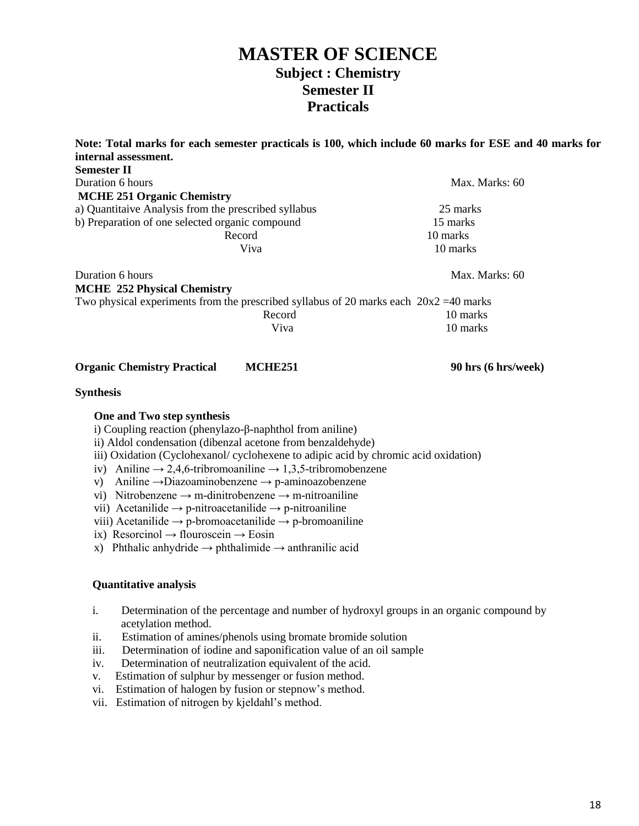## **MASTER OF SCIENCE Subject : Chemistry Semester II Practicals**

|                                                                                                                                                                                                                                                                                                                                                                                                                                                                                                                     |                                                                         | Note: Total marks for each semester practicals is 100, which include 60 marks for ESE and 40 marks for |
|---------------------------------------------------------------------------------------------------------------------------------------------------------------------------------------------------------------------------------------------------------------------------------------------------------------------------------------------------------------------------------------------------------------------------------------------------------------------------------------------------------------------|-------------------------------------------------------------------------|--------------------------------------------------------------------------------------------------------|
| internal assessment.<br><b>Semester II</b>                                                                                                                                                                                                                                                                                                                                                                                                                                                                          |                                                                         |                                                                                                        |
| Duration 6 hours                                                                                                                                                                                                                                                                                                                                                                                                                                                                                                    |                                                                         | Max. Marks: 60                                                                                         |
| <b>MCHE 251 Organic Chemistry</b>                                                                                                                                                                                                                                                                                                                                                                                                                                                                                   |                                                                         |                                                                                                        |
| a) Quantitaive Analysis from the prescribed syllabus                                                                                                                                                                                                                                                                                                                                                                                                                                                                |                                                                         | 25 marks                                                                                               |
| b) Preparation of one selected organic compound                                                                                                                                                                                                                                                                                                                                                                                                                                                                     |                                                                         | 15 marks                                                                                               |
|                                                                                                                                                                                                                                                                                                                                                                                                                                                                                                                     | Record                                                                  | 10 marks                                                                                               |
|                                                                                                                                                                                                                                                                                                                                                                                                                                                                                                                     | Viva                                                                    | 10 marks                                                                                               |
| Duration 6 hours                                                                                                                                                                                                                                                                                                                                                                                                                                                                                                    |                                                                         | Max. Marks: 60                                                                                         |
| <b>MCHE 252 Physical Chemistry</b>                                                                                                                                                                                                                                                                                                                                                                                                                                                                                  |                                                                         |                                                                                                        |
| Two physical experiments from the prescribed syllabus of 20 marks each $20x2 = 40$ marks                                                                                                                                                                                                                                                                                                                                                                                                                            |                                                                         |                                                                                                        |
|                                                                                                                                                                                                                                                                                                                                                                                                                                                                                                                     | Record                                                                  | 10 marks                                                                                               |
|                                                                                                                                                                                                                                                                                                                                                                                                                                                                                                                     | Viva                                                                    | 10 marks                                                                                               |
| <b>Organic Chemistry Practical</b>                                                                                                                                                                                                                                                                                                                                                                                                                                                                                  | <b>MCHE251</b>                                                          | 90 hrs (6 hrs/week)                                                                                    |
| <b>Synthesis</b>                                                                                                                                                                                                                                                                                                                                                                                                                                                                                                    |                                                                         |                                                                                                        |
| One and Two step synthesis<br>i) Coupling reaction (phenylazo- $\beta$ -naphthol from aniline)<br>ii) Aldol condensation (dibenzal acetone from benzaldehyde)<br>iii) Oxidation (Cyclohexanol/ cyclohexene to adipic acid by chromic acid oxidation)<br>iv) Aniline $\rightarrow$ 2,4,6-tribromoaniline $\rightarrow$ 1,3,5-tribromobenzene<br>V)<br>vi) Nitrobenzene $\rightarrow$ m-dinitrobenzene $\rightarrow$ m-nitroaniline<br>vii) Acetanilide $\rightarrow$ p-nitroacetanilide $\rightarrow$ p-nitroaniline | Aniline $\rightarrow$ Diazoaminobenzene $\rightarrow$ p-aminoazobenzene |                                                                                                        |

- viii) Acetanilide  $\rightarrow$  p-bromoacetanilide  $\rightarrow$  p-bromoaniline
- ix) Resorcinol → flouroscein → Eosin
- x) Phthalic anhydride  $\rightarrow$  phthalimide  $\rightarrow$  anthranilic acid

### **Quantitative analysis**

- i. Determination of the percentage and number of hydroxyl groups in an organic compound by acetylation method.
- ii. Estimation of amines/phenols using bromate bromide solution
- iii. Determination of iodine and saponification value of an oil sample
- iv. Determination of neutralization equivalent of the acid.
- v. Estimation of sulphur by messenger or fusion method.
- vi. Estimation of halogen by fusion or stepnow's method.
- vii. Estimation of nitrogen by kjeldahl's method.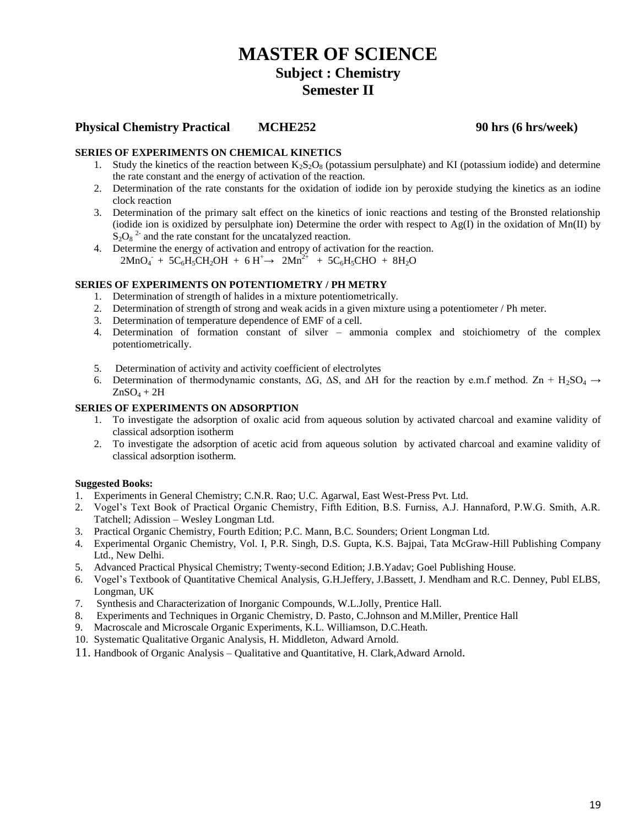### **Physical Chemistry Practical MCHE252 90 hrs (6 hrs/week)**

### **SERIES OF EXPERIMENTS ON CHEMICAL KINETICS**

- 1. Study the kinetics of the reaction between  $K_2S_2O_8$  (potassium persulphate) and KI (potassium iodide) and determine the rate constant and the energy of activation of the reaction.
- 2. Determination of the rate constants for the oxidation of iodide ion by peroxide studying the kinetics as an iodine clock reaction
- 3. Determination of the primary salt effect on the kinetics of ionic reactions and testing of the Bronsted relationship (iodide ion is oxidized by persulphate ion) Determine the order with respect to  $Ag(I)$  in the oxidation of Mn(II) by  $S_2O_8^2$  and the rate constant for the uncatalyzed reaction.
- 4. Determine the energy of activation and entropy of activation for the reaction.  $2MnO_4$  +  $5C_6H_5CH_2OH$  +  $6H^+$   $\rightarrow$   $2Mn^{2+}$  +  $5C_6H_5CHO$  +  $8H_2O$

### **SERIES OF EXPERIMENTS ON POTENTIOMETRY / PH METRY**

- 1. Determination of strength of halides in a mixture potentiometrically.
- 2. Determination of strength of strong and weak acids in a given mixture using a potentiometer / Ph meter.
- 3. Determination of temperature dependence of EMF of a cell.
- 4. Determination of formation constant of silver ammonia complex and stoichiometry of the complex potentiometrically.
- 5. Determination of activity and activity coefficient of electrolytes
- 6. Determination of thermodynamic constants,  $\Delta G$ ,  $\Delta S$ , and  $\Delta H$  for the reaction by e.m.f method.  $Zn + H_2SO_4 \rightarrow$  $ZnSO<sub>4</sub> + 2H$

### **SERIES OF EXPERIMENTS ON ADSORPTION**

- 1. To investigate the adsorption of oxalic acid from aqueous solution by activated charcoal and examine validity of classical adsorption isotherm
- 2. To investigate the adsorption of acetic acid from aqueous solution by activated charcoal and examine validity of classical adsorption isotherm.

- 1. Experiments in General Chemistry; C.N.R. Rao; U.C. Agarwal, East West-Press Pvt. Ltd.
- 2. Vogel's Text Book of Practical Organic Chemistry, Fifth Edition, B.S. Furniss, A.J. Hannaford, P.W.G. Smith, A.R. Tatchell; Adission – Wesley Longman Ltd.
- 3. Practical Organic Chemistry, Fourth Edition; P.C. Mann, B.C. Sounders; Orient Longman Ltd.
- 4. Experimental Organic Chemistry, Vol. I, P.R. Singh, D.S. Gupta, K.S. Bajpai, Tata McGraw-Hill Publishing Company Ltd., New Delhi.
- 5. Advanced Practical Physical Chemistry; Twenty-second Edition; J.B.Yadav; Goel Publishing House.
- 6. Vogel's Textbook of Quantitative Chemical Analysis, G.H.Jeffery, J.Bassett, J. Mendham and R.C. Denney, Publ ELBS, Longman, UK
- 7. Synthesis and Characterization of Inorganic Compounds, W.L.Jolly, Prentice Hall.
- 8. Experiments and Techniques in Organic Chemistry, D. Pasto, C.Johnson and M.Miller, Prentice Hall
- 9. Macroscale and Microscale Organic Experiments, K.L. Williamson, D.C.Heath.
- 10. Systematic Qualitative Organic Analysis, H. Middleton, Adward Arnold.
- 11. Handbook of Organic Analysis Qualitative and Quantitative, H. Clark,Adward Arnold.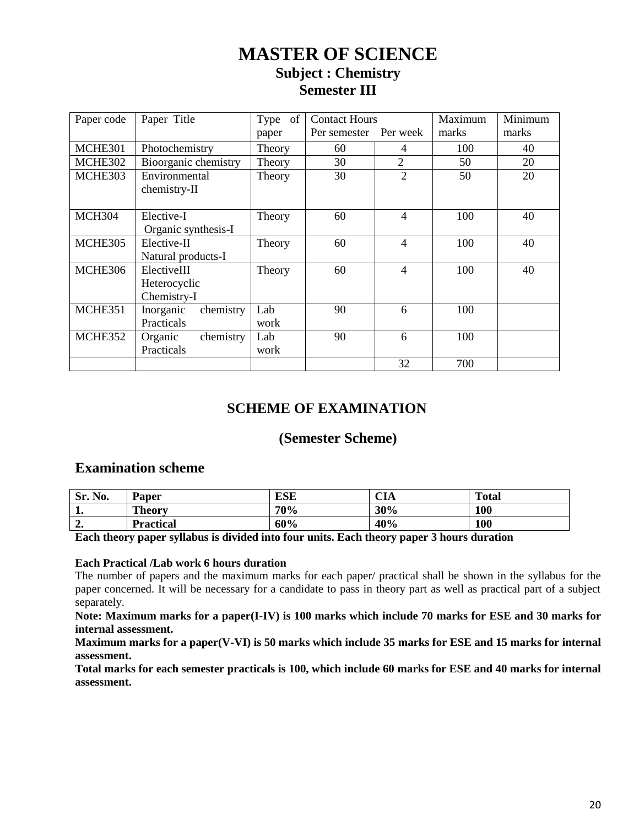| Paper code    | Paper Title                                | Type of     | <b>Contact Hours</b> |                             | Maximum | Minimum |
|---------------|--------------------------------------------|-------------|----------------------|-----------------------------|---------|---------|
|               |                                            | paper       | Per semester         | Per week                    | marks   | marks   |
| MCHE301       | Photochemistry                             | Theory      | 60                   | 4                           | 100     | 40      |
| MCHE302       | Bioorganic chemistry                       | Theory      | 30                   | $\overline{2}$              | 50      | 20      |
| MCHE303       | Environmental<br>chemistry-II              | Theory      | 30                   | $\mathcal{D}_{\mathcal{A}}$ | 50      | 20      |
| <b>MCH304</b> | Elective-I<br>Organic synthesis-I          | Theory      | 60                   | $\overline{\mathcal{A}}$    | 100     | 40      |
| MCHE305       | Elective-II<br>Natural products-I          | Theory      | 60                   | $\overline{4}$              | 100     | 40      |
| MCHE306       | ElectiveIII<br>Heterocyclic<br>Chemistry-I | Theory      | 60                   | 4                           | 100     | 40      |
| MCHE351       | chemistry<br>Inorganic<br>Practicals       | Lab<br>work | 90                   | 6                           | 100     |         |
| MCHE352       | chemistry<br>Organic<br>Practicals         | Lab<br>work | 90                   | 6                           | 100     |         |
|               |                                            |             |                      | 32                          | 700     |         |

### **SCHEME OF EXAMINATION**

### **(Semester Scheme)**

### **Examination scheme**

| No.<br>Sr. | Paper            | <b>ESE</b> | $\cap$ T $\sim$<br>UА | <b>Total</b> |
|------------|------------------|------------|-----------------------|--------------|
| . .        | <b>Theory</b>    | 70%        | 30%                   | 100          |
| ە ب        | <b>Practical</b> | 60%        | 40%                   | 100          |

**Each theory paper syllabus is divided into four units. Each theory paper 3 hours duration**

### **Each Practical /Lab work 6 hours duration**

The number of papers and the maximum marks for each paper/ practical shall be shown in the syllabus for the paper concerned. It will be necessary for a candidate to pass in theory part as well as practical part of a subject separately.

**Note: Maximum marks for a paper(I-IV) is 100 marks which include 70 marks for ESE and 30 marks for internal assessment.**

**Maximum marks for a paper(V-VI) is 50 marks which include 35 marks for ESE and 15 marks for internal assessment.**

**Total marks for each semester practicals is 100, which include 60 marks for ESE and 40 marks for internal assessment.**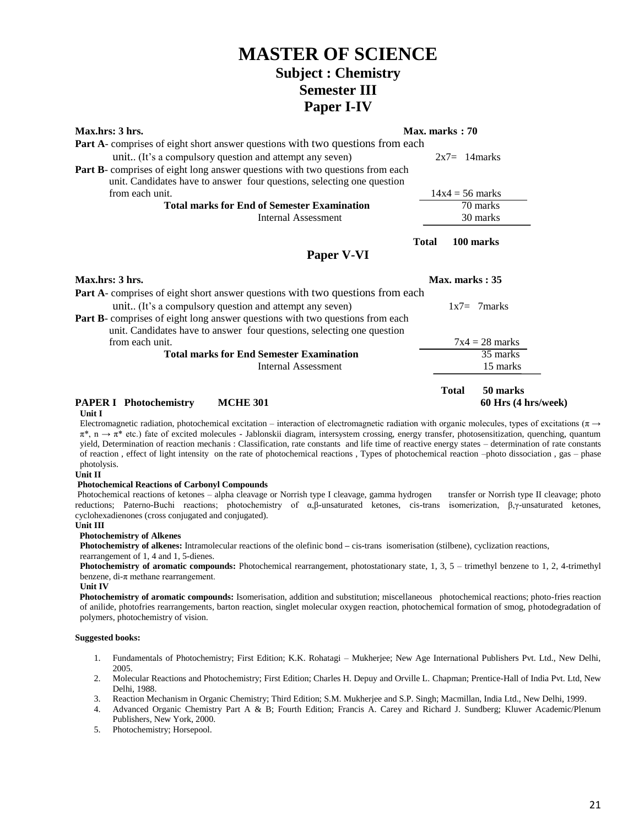| Max.hrs: 3 hrs.                                                                       | Max. marks: 70 |                   |                     |
|---------------------------------------------------------------------------------------|----------------|-------------------|---------------------|
| <b>Part A</b> -comprises of eight short answer questions with two questions from each |                |                   |                     |
| unit (It's a compulsory question and attempt any seven)                               |                | $2x7 = 14$ marks  |                     |
| Part B- comprises of eight long answer questions with two questions from each         |                |                   |                     |
| unit. Candidates have to answer four questions, selecting one question                |                |                   |                     |
| from each unit.                                                                       |                | $14x4 = 56$ marks |                     |
| <b>Total marks for End of Semester Examination</b>                                    |                |                   | 70 marks            |
| <b>Internal Assessment</b>                                                            |                |                   | 30 marks            |
|                                                                                       | <b>Total</b>   |                   | 100 marks           |
| Paper V-VI                                                                            |                |                   |                     |
| Max.hrs: 3 hrs.                                                                       |                | Max. marks: 35    |                     |
| <b>Part A</b> -comprises of eight short answer questions with two questions from each |                |                   |                     |
| unit (It's a compulsory question and attempt any seven)                               |                |                   | $1x7=7$ marks       |
| Part B- comprises of eight long answer questions with two questions from each         |                |                   |                     |
| unit. Candidates have to answer four questions, selecting one question                |                |                   |                     |
| from each unit.                                                                       |                |                   | $7x4 = 28$ marks    |
| <b>Total marks for End Semester Examination</b>                                       |                |                   | 35 marks            |
| <b>Internal Assessment</b>                                                            |                |                   | 15 marks            |
|                                                                                       |                |                   |                     |
|                                                                                       |                | <b>Total</b>      | 50 marks            |
| <b>PAPER I</b> Photochemistry<br><b>MCHE 301</b><br>Unit I                            |                |                   | 60 Hrs (4 hrs/week) |

Electromagnetic radiation, photochemical excitation – interaction of electromagnetic radiation with organic molecules, types of excitations (π  $\rightarrow$  $\pi^*$ , n  $\rightarrow \pi^*$  etc.) fate of excited molecules - Jablonskii diagram, intersystem crossing, energy transfer, photosensitization, quenching, quantum yield, Determination of reaction mechanis : Classification, rate constants and life time of reactive energy states – determination of rate constants of reaction , effect of light intensity on the rate of photochemical reactions , Types of photochemical reaction –photo dissociation , gas – phase photolysis.

#### **Unit II**

#### **Photochemical Reactions of Carbonyl Compounds**

Photochemical reactions of ketones – alpha cleavage or Norrish type I cleavage, gamma hydrogen transfer or Norrish type II cleavage; photo reductions; Paterno-Buchi reactions; photochemistry of α,β-unsaturated ketones, cis-trans isomerization, β,γ-unsaturated ketones, cyclohexadienones (cross conjugated and conjugated).

#### **Unit III**

#### **Photochemistry of Alkenes**

**Photochemistry of alkenes:** Intramolecular reactions of the olefinic bond **–** cis**-**trans isomerisation (stilbene), cyclization reactions, rearrangement of 1, 4 and 1, 5-dienes.

**Photochemistry of aromatic compounds:** Photochemical rearrangement, photostationary state, 1, 3, 5 – trimethyl benzene to 1, 2, 4-trimethyl benzene, di- $\pi$  methane rearrangement.

**Unit IV**

 **Photochemistry of aromatic compounds:** Isomerisation, addition and substitution; miscellaneous photochemical reactions; photo-fries reaction of anilide, photofries rearrangements, barton reaction, singlet molecular oxygen reaction, photochemical formation of smog, photodegradation of polymers, photochemistry of vision.

- 1. Fundamentals of Photochemistry; First Edition; K.K. Rohatagi Mukherjee; New Age International Publishers Pvt. Ltd., New Delhi, 2005.
- 2. Molecular Reactions and Photochemistry; First Edition; Charles H. Depuy and Orville L. Chapman; Prentice-Hall of India Pvt. Ltd, New Delhi, 1988.
- 3. Reaction Mechanism in Organic Chemistry; Third Edition; S.M. Mukherjee and S.P. Singh; Macmillan, India Ltd., New Delhi, 1999.
- 4. Advanced Organic Chemistry Part A & B; Fourth Edition; Francis A. Carey and Richard J. Sundberg; Kluwer Academic/Plenum Publishers, New York, 2000.
- 5. Photochemistry; Horsepool.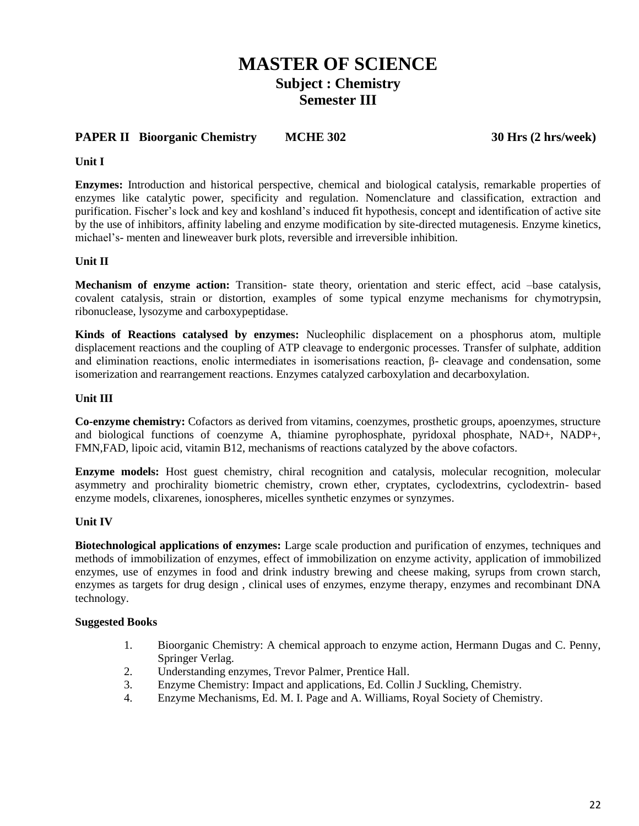### **PAPER II Bioorganic Chemistry MCHE 302 30 Hrs (2 hrs/week)**

### **Unit I**

**Enzymes:** Introduction and historical perspective, chemical and biological catalysis, remarkable properties of enzymes like catalytic power, specificity and regulation. Nomenclature and classification, extraction and purification. Fischer's lock and key and koshland's induced fit hypothesis, concept and identification of active site by the use of inhibitors, affinity labeling and enzyme modification by site-directed mutagenesis. Enzyme kinetics, michael's- menten and lineweaver burk plots, reversible and irreversible inhibition.

### **Unit II**

**Mechanism of enzyme action:** Transition- state theory, orientation and steric effect, acid –base catalysis, covalent catalysis, strain or distortion, examples of some typical enzyme mechanisms for chymotrypsin, ribonuclease, lysozyme and carboxypeptidase.

**Kinds of Reactions catalysed by enzymes:** Nucleophilic displacement on a phosphorus atom, multiple displacement reactions and the coupling of ATP cleavage to endergonic processes. Transfer of sulphate, addition and elimination reactions, enolic intermediates in isomerisations reaction, β- cleavage and condensation, some isomerization and rearrangement reactions. Enzymes catalyzed carboxylation and decarboxylation.

### **Unit III**

**Co-enzyme chemistry:** Cofactors as derived from vitamins, coenzymes, prosthetic groups, apoenzymes, structure and biological functions of coenzyme A, thiamine pyrophosphate, pyridoxal phosphate, NAD+, NADP+, FMN,FAD, lipoic acid, vitamin B12, mechanisms of reactions catalyzed by the above cofactors.

**Enzyme models:** Host guest chemistry, chiral recognition and catalysis, molecular recognition, molecular asymmetry and prochirality biometric chemistry, crown ether, cryptates, cyclodextrins, cyclodextrin- based enzyme models, clixarenes, ionospheres, micelles synthetic enzymes or synzymes.

### **Unit IV**

**Biotechnological applications of enzymes:** Large scale production and purification of enzymes, techniques and methods of immobilization of enzymes, effect of immobilization on enzyme activity, application of immobilized enzymes, use of enzymes in food and drink industry brewing and cheese making, syrups from crown starch, enzymes as targets for drug design , clinical uses of enzymes, enzyme therapy, enzymes and recombinant DNA technology.

- 1. Bioorganic Chemistry: A chemical approach to enzyme action, Hermann Dugas and C. Penny, Springer Verlag.
- 2. Understanding enzymes, Trevor Palmer, Prentice Hall.
- 3. Enzyme Chemistry: Impact and applications, Ed. Collin J Suckling, Chemistry.
- 4. Enzyme Mechanisms, Ed. M. I. Page and A. Williams, Royal Society of Chemistry.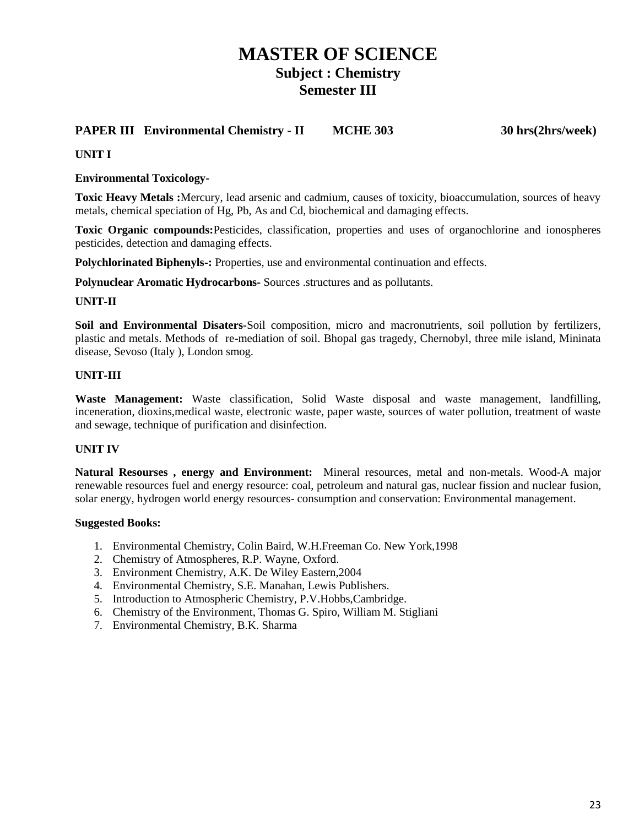### **PAPER III Environmental Chemistry - II MCHE 303 30 hrs(2hrs/week)**

### **UNIT I**

### **Environmental Toxicology-**

**Toxic Heavy Metals :**Mercury, lead arsenic and cadmium, causes of toxicity, bioaccumulation, sources of heavy metals, chemical speciation of Hg, Pb, As and Cd, biochemical and damaging effects.

**Toxic Organic compounds:**Pesticides, classification, properties and uses of organochlorine and ionospheres pesticides, detection and damaging effects.

**Polychlorinated Biphenyls-:** Properties, use and environmental continuation and effects.

**Polynuclear Aromatic Hydrocarbons-** Sources .structures and as pollutants.

### **UNIT-II**

**Soil and Environmental Disaters-**Soil composition, micro and macronutrients, soil pollution by fertilizers, plastic and metals. Methods of re-mediation of soil. Bhopal gas tragedy, Chernobyl, three mile island, Mininata disease, Sevoso (Italy ), London smog.

### **UNIT-III**

**Waste Management:** Waste classification, Solid Waste disposal and waste management, landfilling, inceneration, dioxins,medical waste, electronic waste, paper waste, sources of water pollution, treatment of waste and sewage, technique of purification and disinfection.

### **UNIT IV**

**Natural Resourses , energy and Environment:** Mineral resources, metal and non-metals. Wood-A major renewable resources fuel and energy resource: coal, petroleum and natural gas, nuclear fission and nuclear fusion, solar energy, hydrogen world energy resources- consumption and conservation: Environmental management.

- 1. Environmental Chemistry, Colin Baird, W.H.Freeman Co. New York,1998
- 2. Chemistry of Atmospheres, R.P. Wayne, Oxford.
- 3. Environment Chemistry, A.K. De Wiley Eastern,2004
- 4. Environmental Chemistry, S.E. Manahan, Lewis Publishers.
- 5. Introduction to Atmospheric Chemistry, P.V.Hobbs,Cambridge.
- 6. Chemistry of the Environment, Thomas G. Spiro, William M. Stigliani
- 7. Environmental Chemistry, B.K. Sharma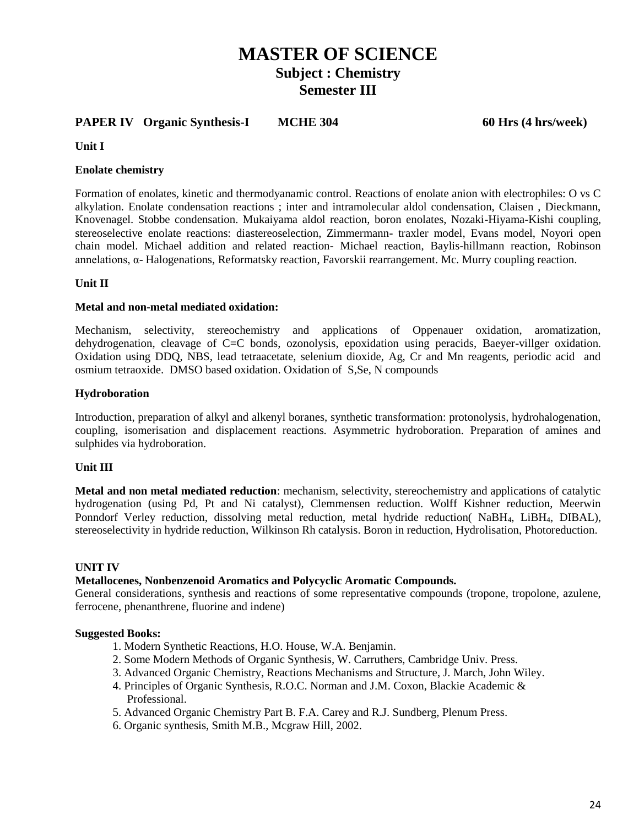### **PAPER IV** Organic Synthesis-I MCHE 304 60 Hrs (4 hrs/week)

**Unit I** 

### **Enolate chemistry**

Formation of enolates, kinetic and thermodyanamic control. Reactions of enolate anion with electrophiles: O vs C alkylation. Enolate condensation reactions ; inter and intramolecular aldol condensation, Claisen , Dieckmann, Knovenagel. Stobbe condensation. Mukaiyama aldol reaction, boron enolates, Nozaki-Hiyama-Kishi coupling, stereoselective enolate reactions: diastereoselection, Zimmermann- traxler model, Evans model, Noyori open chain model. Michael addition and related reaction- Michael reaction, Baylis-hillmann reaction, Robinson annelations, α- Halogenations, Reformatsky reaction, Favorskii rearrangement. Mc. Murry coupling reaction.

### **Unit II**

### **Metal and non-metal mediated oxidation:**

Mechanism, selectivity, stereochemistry and applications of Oppenauer oxidation, aromatization, dehydrogenation, cleavage of C=C bonds, ozonolysis, epoxidation using peracids, Baeyer-villger oxidation. Oxidation using DDQ, NBS, lead tetraacetate, selenium dioxide, Ag, Cr and Mn reagents, periodic acid and osmium tetraoxide. DMSO based oxidation. Oxidation of S,Se, N compounds

### **Hydroboration**

Introduction, preparation of alkyl and alkenyl boranes, synthetic transformation: protonolysis, hydrohalogenation, coupling, isomerisation and displacement reactions. Asymmetric hydroboration. Preparation of amines and sulphides via hydroboration.

### **Unit III**

**Metal and non metal mediated reduction**: mechanism, selectivity, stereochemistry and applications of catalytic hydrogenation (using Pd, Pt and Ni catalyst), Clemmensen reduction. Wolff Kishner reduction, Meerwin Ponndorf Verley reduction, dissolving metal reduction, metal hydride reduction NaBH<sub>4</sub>, LiBH<sub>4</sub>, DIBAL), stereoselectivity in hydride reduction, Wilkinson Rh catalysis. Boron in reduction, Hydrolisation, Photoreduction.

### **UNIT IV**

### **Metallocenes, Nonbenzenoid Aromatics and Polycyclic Aromatic Compounds.**

General considerations, synthesis and reactions of some representative compounds (tropone, tropolone, azulene, ferrocene, phenanthrene, fluorine and indene)

- 1. Modern Synthetic Reactions, H.O. House, W.A. Benjamin.
- 2. Some Modern Methods of Organic Synthesis, W. Carruthers, Cambridge Univ. Press.
- 3. Advanced Organic Chemistry, Reactions Mechanisms and Structure, J. March, John Wiley.
- 4. Principles of Organic Synthesis, R.O.C. Norman and J.M. Coxon, Blackie Academic & Professional.
- 5. Advanced Organic Chemistry Part B. F.A. Carey and R.J. Sundberg, Plenum Press.
- 6. Organic synthesis, Smith M.B., Mcgraw Hill, 2002.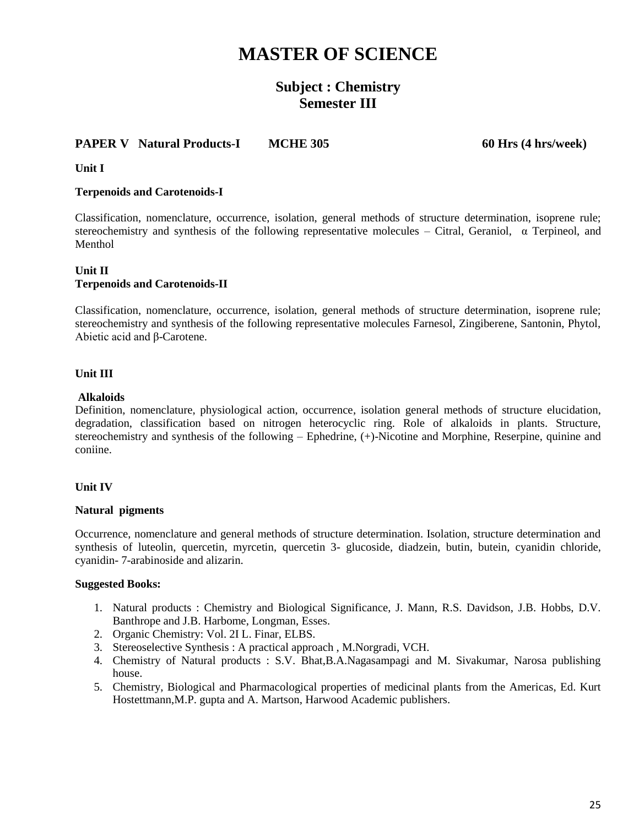# **MASTER OF SCIENCE**

## **Subject : Chemistry Semester III**

### **PAPER V** Natural Products-I MCHE 305 60 Hrs (4 hrs/week)

**Unit I**

### **Terpenoids and Carotenoids-I**

Classification, nomenclature, occurrence, isolation, general methods of structure determination, isoprene rule; stereochemistry and synthesis of the following representative molecules – Citral, Geraniol,  $\alpha$  Terpineol, and Menthol

### **Unit II Terpenoids and Carotenoids-II**

Classification, nomenclature, occurrence, isolation, general methods of structure determination, isoprene rule; stereochemistry and synthesis of the following representative molecules Farnesol, Zingiberene, Santonin, Phytol, Abietic acid and β-Carotene.

### **Unit III**

### **Alkaloids**

Definition, nomenclature, physiological action, occurrence, isolation general methods of structure elucidation, degradation, classification based on nitrogen heterocyclic ring. Role of alkaloids in plants. Structure, stereochemistry and synthesis of the following – Ephedrine, (+)-Nicotine and Morphine, Reserpine, quinine and coniine.

### **Unit IV**

### **Natural pigments**

Occurrence, nomenclature and general methods of structure determination. Isolation, structure determination and synthesis of luteolin, quercetin, myrcetin, quercetin 3- glucoside, diadzein, butin, butein, cyanidin chloride, cyanidin- 7-arabinoside and alizarin.

- 1. Natural products : Chemistry and Biological Significance, J. Mann, R.S. Davidson, J.B. Hobbs, D.V. Banthrope and J.B. Harbome, Longman, Esses.
- 2. Organic Chemistry: Vol. 2I L. Finar, ELBS.
- 3. Stereoselective Synthesis : A practical approach , M.Norgradi, VCH.
- 4. Chemistry of Natural products : S.V. Bhat,B.A.Nagasampagi and M. Sivakumar, Narosa publishing house.
- 5. Chemistry, Biological and Pharmacological properties of medicinal plants from the Americas, Ed. Kurt Hostettmann,M.P. gupta and A. Martson, Harwood Academic publishers.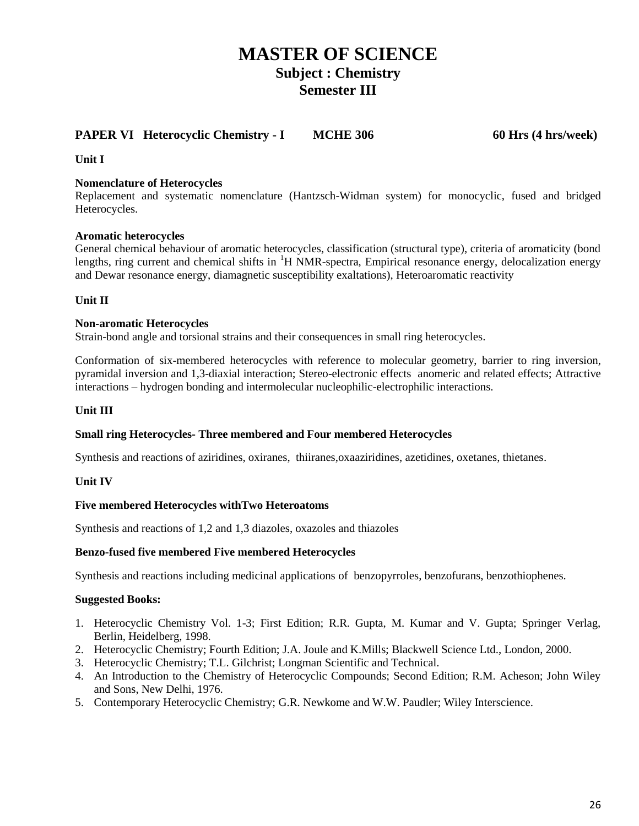### **PAPER VI** Heterocyclic Chemistry - **I** MCHE 306 60 Hrs (4 hrs/week)

### **Unit I**

### **Nomenclature of Heterocycles**

Replacement and systematic nomenclature (Hantzsch-Widman system) for monocyclic, fused and bridged Heterocycles.

### **Aromatic heterocycles**

General chemical behaviour of aromatic heterocycles, classification (structural type), criteria of aromaticity (bond lengths, ring current and chemical shifts in <sup>1</sup>H NMR-spectra, Empirical resonance energy, delocalization energy and Dewar resonance energy, diamagnetic susceptibility exaltations), Heteroaromatic reactivity

### **Unit II**

### **Non-aromatic Heterocycles**

Strain-bond angle and torsional strains and their consequences in small ring heterocycles.

Conformation of six-membered heterocycles with reference to molecular geometry, barrier to ring inversion, pyramidal inversion and 1,3-diaxial interaction; Stereo-electronic effects anomeric and related effects; Attractive interactions – hydrogen bonding and intermolecular nucleophilic-electrophilic interactions.

### **Unit III**

### **Small ring Heterocycles- Three membered and Four membered Heterocycles**

Synthesis and reactions of aziridines, oxiranes, thiiranes,oxaaziridines, azetidines, oxetanes, thietanes.

### **Unit IV**

### **Five membered Heterocycles withTwo Heteroatoms**

Synthesis and reactions of 1,2 and 1,3 diazoles, oxazoles and thiazoles

### **Benzo-fused five membered Five membered Heterocycles**

Synthesis and reactions including medicinal applications of benzopyrroles, benzofurans, benzothiophenes.

- 1. Heterocyclic Chemistry Vol. 1-3; First Edition; R.R. Gupta, M. Kumar and V. Gupta; Springer Verlag, Berlin, Heidelberg, 1998.
- 2. Heterocyclic Chemistry; Fourth Edition; J.A. Joule and K.Mills; Blackwell Science Ltd., London, 2000.
- 3. Heterocyclic Chemistry; T.L. Gilchrist; Longman Scientific and Technical.
- 4. An Introduction to the Chemistry of Heterocyclic Compounds; Second Edition; R.M. Acheson; John Wiley and Sons, New Delhi, 1976.
- 5. Contemporary Heterocyclic Chemistry; G.R. Newkome and W.W. Paudler; Wiley Interscience.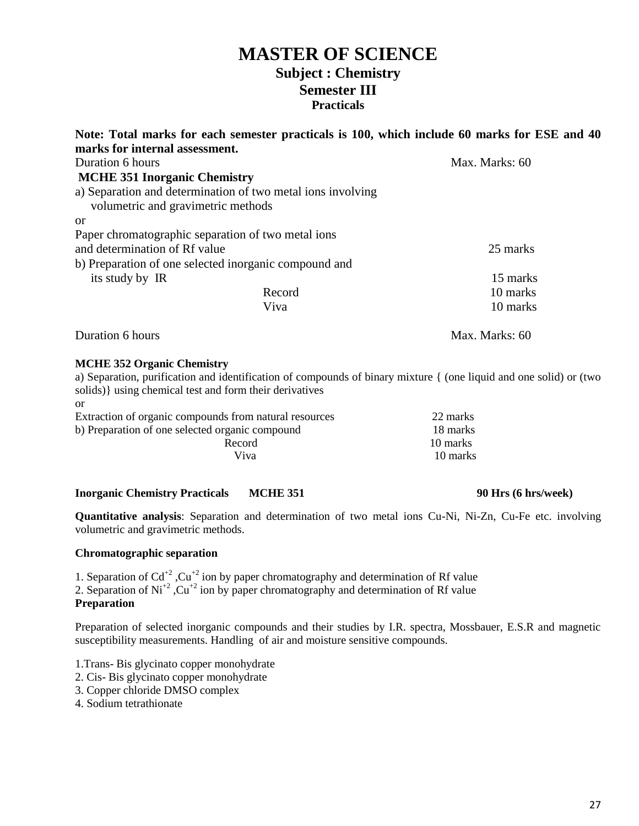|                                     | Note: Total marks for each semester practicals is 100, which include 60 marks for ESE and 40 |                |
|-------------------------------------|----------------------------------------------------------------------------------------------|----------------|
| marks for internal assessment.      |                                                                                              |                |
| Duration 6 hours                    |                                                                                              | Max. Marks: 60 |
| <b>MCHE 351 Inorganic Chemistry</b> |                                                                                              |                |
| volumetric and gravimetric methods  | a) Separation and determination of two metal ions involving                                  |                |
| <b>or</b>                           |                                                                                              |                |
|                                     | Paper chromatographic separation of two metal ions                                           |                |
| and determination of Rf value       |                                                                                              | 25 marks       |
|                                     | b) Preparation of one selected inorganic compound and                                        |                |
| its study by IR                     |                                                                                              | 15 marks       |
|                                     | Record                                                                                       | 10 marks       |
|                                     | Viva                                                                                         | 10 marks       |
| Duration 6 hours                    |                                                                                              | Max. Marks: 60 |

### **MCHE 352 Organic Chemistry**

a) Separation, purification and identification of compounds of binary mixture { (one liquid and one solid) or (two solids)} using chemical test and form their derivatives

| or                                                     |          |
|--------------------------------------------------------|----------|
| Extraction of organic compounds from natural resources | 22 marks |
| b) Preparation of one selected organic compound        | 18 marks |
| Record                                                 | 10 marks |
| Viva                                                   | 10 marks |

### **Inorganic Chemistry Practicals MCHE 351 90 Hrs (6 hrs/week)**

**Quantitative analysis**: Separation and determination of two metal ions Cu-Ni, Ni-Zn, Cu-Fe etc. involving volumetric and gravimetric methods.

### **Chromatographic separation**

1. Separation of  $Cd^{+2}$ ,  $Cu^{+2}$  ion by paper chromatography and determination of Rf value

2. Separation of  $Ni<sup>2</sup>$ ,  $Cu<sup>2</sup>$  ion by paper chromatography and determination of Rf value

### **Preparation**

Preparation of selected inorganic compounds and their studies by I.R. spectra, Mossbauer, E.S.R and magnetic susceptibility measurements. Handling of air and moisture sensitive compounds.

1.Trans- Bis glycinato copper monohydrate

- 2. Cis- Bis glycinato copper monohydrate
- 3. Copper chloride DMSO complex
- 4. Sodium tetrathionate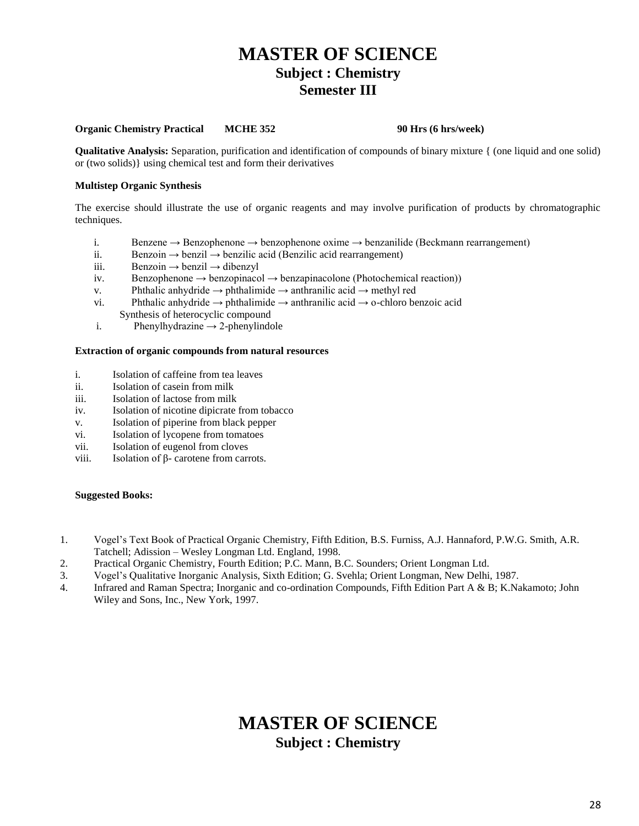### **Organic Chemistry Practical MCHE 352 90 Hrs (6 hrs/week)**

**Qualitative Analysis:** Separation, purification and identification of compounds of binary mixture { (one liquid and one solid) or (two solids)} using chemical test and form their derivatives

#### **Multistep Organic Synthesis**

The exercise should illustrate the use of organic reagents and may involve purification of products by chromatographic techniques.

- i. Benzene → Benzophenone → benzophenone oxime → benzanilide (Beckmann rearrangement)
- ii. Benzoin  $\rightarrow$  benzil  $\rightarrow$  benzilic acid (Benzilic acid rearrangement)
- iii. Benzoin → benzil → dibenzyl
- iv. Benzophenone  $\rightarrow$  benzopinacol  $\rightarrow$  benzapinacolone (Photochemical reaction))
- v. Phthalic anhydride  $\rightarrow$  phthalimide  $\rightarrow$  anthranilic acid  $\rightarrow$  methyl red
- vi. Phthalic anhydride  $\rightarrow$  phthalimide  $\rightarrow$  anthranilic acid  $\rightarrow$  o-chloro benzoic acid Synthesis of heterocyclic compound
- i. Phenylhydrazine  $\rightarrow$  2-phenylindole

#### **Extraction of organic compounds from natural resources**

- i. Isolation of caffeine from tea leaves
- ii. Isolation of casein from milk
- iii. Isolation of lactose from milk
- iv. Isolation of nicotine dipicrate from tobacco
- v. Isolation of piperine from black pepper
- vi. Isolation of lycopene from tomatoes
- vii. Isolation of eugenol from cloves
- viii. Isolation of  $β$  carotene from carrots.

#### **Suggested Books:**

- 1. Vogel's Text Book of Practical Organic Chemistry, Fifth Edition, B.S. Furniss, A.J. Hannaford, P.W.G. Smith, A.R. Tatchell; Adission – Wesley Longman Ltd. England, 1998.
- 2. Practical Organic Chemistry, Fourth Edition; P.C. Mann, B.C. Sounders; Orient Longman Ltd.
- 3. Vogel's Qualitative Inorganic Analysis, Sixth Edition; G. Svehla; Orient Longman, New Delhi, 1987.
- 4. Infrared and Raman Spectra; Inorganic and co-ordination Compounds, Fifth Edition Part A & B; K.Nakamoto; John Wiley and Sons, Inc., New York, 1997.

## **MASTER OF SCIENCE Subject : Chemistry**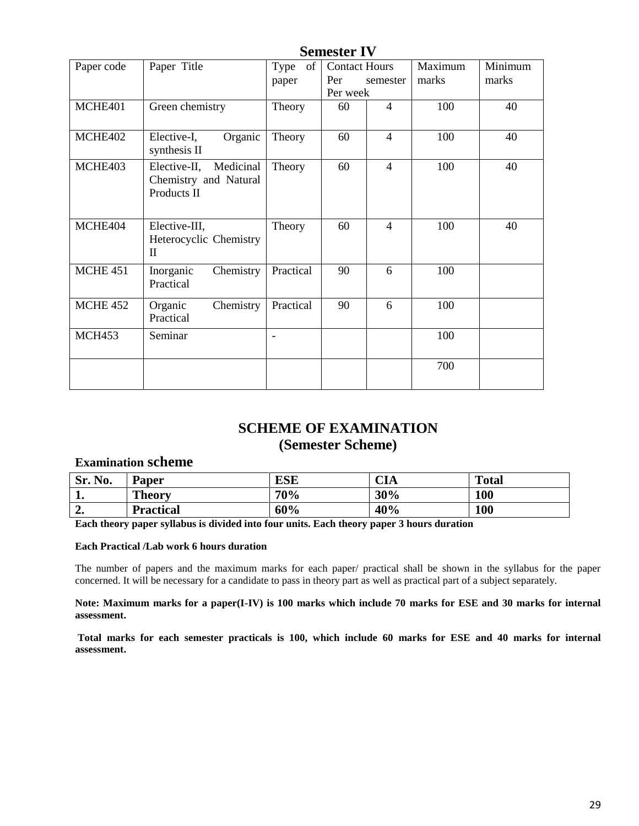|                 |                                                                   |                     | <b>Semester IV</b>                      |                |                  |                  |
|-----------------|-------------------------------------------------------------------|---------------------|-----------------------------------------|----------------|------------------|------------------|
| Paper code      | Paper Title                                                       | of<br>Type<br>paper | <b>Contact Hours</b><br>Per<br>Per week | semester       | Maximum<br>marks | Minimum<br>marks |
| MCHE401         | Green chemistry                                                   | Theory              | 60                                      | $\overline{4}$ | 100              | 40               |
| MCHE402         | Elective-I,<br>Organic<br>synthesis II                            | Theory              | 60                                      | $\overline{4}$ | 100              | 40               |
| MCHE403         | Elective-II,<br>Medicinal<br>Chemistry and Natural<br>Products II | Theory              | 60                                      | $\overline{4}$ | 100              | 40               |
| MCHE404         | Elective-III,<br>Heterocyclic Chemistry<br>$\rm II$               | Theory              | 60                                      | $\overline{4}$ | 100              | 40               |
| <b>MCHE 451</b> | Chemistry<br>Inorganic<br>Practical                               | Practical           | 90                                      | 6              | 100              |                  |
| <b>MCHE 452</b> | Organic<br>Chemistry<br>Practical                                 | Practical           | 90                                      | 6              | 100              |                  |
| <b>MCH453</b>   | Seminar                                                           | $\blacksquare$      |                                         |                | 100              |                  |
|                 |                                                                   |                     |                                         |                | 700              |                  |

### **SCHEME OF EXAMINATION (Semester Scheme)**

### **Examination scheme**

| Sr. No. | <b>Paper</b>     | <b>ESE</b> | CIA | <b>Total</b> |
|---------|------------------|------------|-----|--------------|
|         | <b>Theory</b>    | 70%        | 30% | 100          |
| ↗<br>∸• | <b>Practical</b> | 60%        | 40% | 100          |

**Each theory paper syllabus is divided into four units. Each theory paper 3 hours duration**

### **Each Practical /Lab work 6 hours duration**

The number of papers and the maximum marks for each paper/ practical shall be shown in the syllabus for the paper concerned. It will be necessary for a candidate to pass in theory part as well as practical part of a subject separately.

### **Note: Maximum marks for a paper(I-IV) is 100 marks which include 70 marks for ESE and 30 marks for internal assessment.**

**Total marks for each semester practicals is 100, which include 60 marks for ESE and 40 marks for internal assessment.**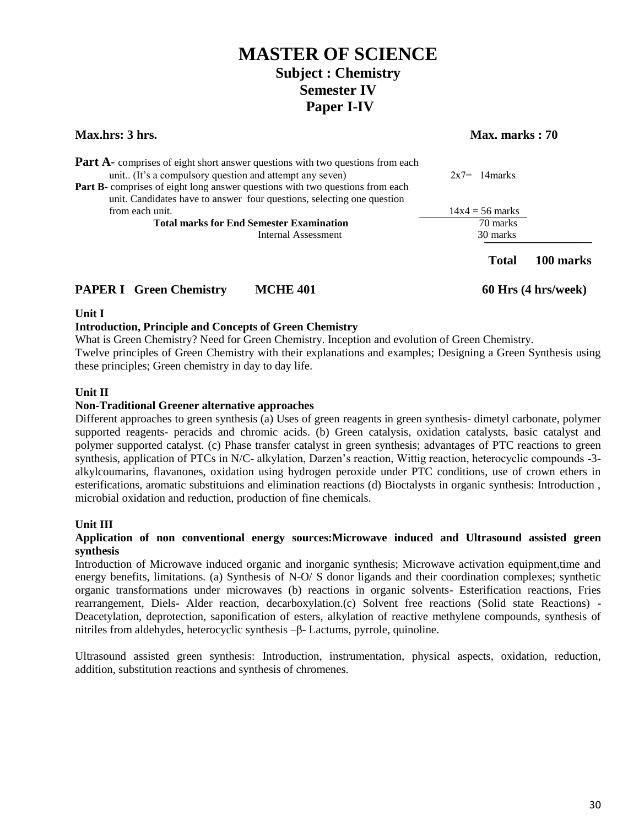| <b>Max.hrs: 3 hrs.</b>                                                                                                                                         | Max. marks: 70    |                     |  |
|----------------------------------------------------------------------------------------------------------------------------------------------------------------|-------------------|---------------------|--|
| <b>Part A</b> - comprises of eight short answer questions with two questions from each<br>unit (It's a compulsory question and attempt any seven)              | $2x7=14$ marks    |                     |  |
| <b>Part B</b> -comprises of eight long answer questions with two questions from each<br>unit. Candidates have to answer four questions, selecting one question |                   |                     |  |
| from each unit.                                                                                                                                                | $14x4 = 56$ marks |                     |  |
| <b>Total marks for End Semester Examination</b>                                                                                                                | 70 marks          |                     |  |
| Internal Assessment                                                                                                                                            | 30 marks          |                     |  |
|                                                                                                                                                                | <b>Total</b>      | 100 marks           |  |
| <b>PAPER I</b> Green Chemistry<br><b>MCHE 401</b>                                                                                                              |                   | 60 Hrs (4 hrs/week) |  |

### **Unit I**

### **Introduction, Principle and Concepts of Green Chemistry**

What is Green Chemistry? Need for Green Chemistry. Inception and evolution of Green Chemistry. Twelve principles of Green Chemistry with their explanations and examples; Designing a Green Synthesis using these principles; Green chemistry in day to day life.

### **Unit II**

### **Non-Traditional Greener alternative approaches**

Different approaches to green synthesis (a) Uses of green reagents in green synthesis- dimetyl carbonate, polymer supported reagents- peracids and chromic acids. (b) Green catalysis, oxidation catalysts, basic catalyst and polymer supported catalyst. (c) Phase transfer catalyst in green synthesis; advantages of PTC reactions to green synthesis, application of PTCs in N/C- alkylation, Darzen's reaction, Wittig reaction, heterocyclic compounds -3 alkylcoumarins, flavanones, oxidation using hydrogen peroxide under PTC conditions, use of crown ethers in esterifications, aromatic substituions and elimination reactions (d) Bioctalysts in organic synthesis: Introduction , microbial oxidation and reduction, production of fine chemicals.

### **Unit III**

### **Application of non conventional energy sources:Microwave induced and Ultrasound assisted green synthesis**

Introduction of Microwave induced organic and inorganic synthesis; Microwave activation equipment,time and energy benefits, limitations. (a) Synthesis of N-O/ S donor ligands and their coordination complexes; synthetic organic transformations under microwaves (b) reactions in organic solvents- Esterification reactions, Fries rearrangement, Diels- Alder reaction, decarboxylation.(c) Solvent free reactions (Solid state Reactions) - Deacetylation, deprotection, saponification of esters, alkylation of reactive methylene compounds, synthesis of nitriles from aldehydes, heterocyclic synthesis –β- Lactums, pyrrole, quinoline.

Ultrasound assisted green synthesis: Introduction, instrumentation, physical aspects, oxidation, reduction, addition, substitution reactions and synthesis of chromenes.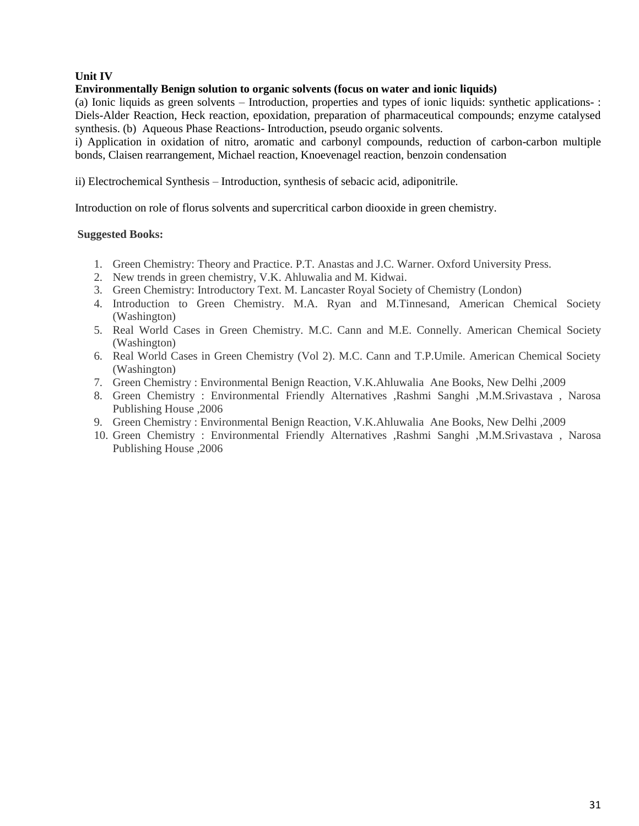### **Unit IV**

### **Environmentally Benign solution to organic solvents (focus on water and ionic liquids)**

(a) Ionic liquids as green solvents – Introduction, properties and types of ionic liquids: synthetic applications- : Diels-Alder Reaction, Heck reaction, epoxidation, preparation of pharmaceutical compounds; enzyme catalysed synthesis. (b) Aqueous Phase Reactions- Introduction, pseudo organic solvents.

i) Application in oxidation of nitro, aromatic and carbonyl compounds, reduction of carbon-carbon multiple bonds, Claisen rearrangement, Michael reaction, Knoevenagel reaction, benzoin condensation

ii) Electrochemical Synthesis – Introduction, synthesis of sebacic acid, adiponitrile.

Introduction on role of florus solvents and supercritical carbon diooxide in green chemistry.

- 1. Green Chemistry: Theory and Practice. P.T. Anastas and J.C. Warner. Oxford University Press.
- 2. New trends in green chemistry, V.K. Ahluwalia and M. Kidwai.
- 3. Green Chemistry: Introductory Text. M. Lancaster Royal Society of Chemistry (London)
- 4. Introduction to Green Chemistry. M.A. Ryan and M.Tinnesand, American Chemical Society (Washington)
- 5. Real World Cases in Green Chemistry. M.C. Cann and M.E. Connelly. American Chemical Society (Washington)
- 6. Real World Cases in Green Chemistry (Vol 2). M.C. Cann and T.P.Umile. American Chemical Society (Washington)
- 7. Green Chemistry : Environmental Benign Reaction, V.K.Ahluwalia Ane Books, New Delhi ,2009
- 8. Green Chemistry : Environmental Friendly Alternatives ,Rashmi Sanghi ,M.M.Srivastava , Narosa Publishing House ,2006
- 9. Green Chemistry : Environmental Benign Reaction, V.K.Ahluwalia Ane Books, New Delhi ,2009
- 10. Green Chemistry : Environmental Friendly Alternatives ,Rashmi Sanghi ,M.M.Srivastava , Narosa Publishing House ,2006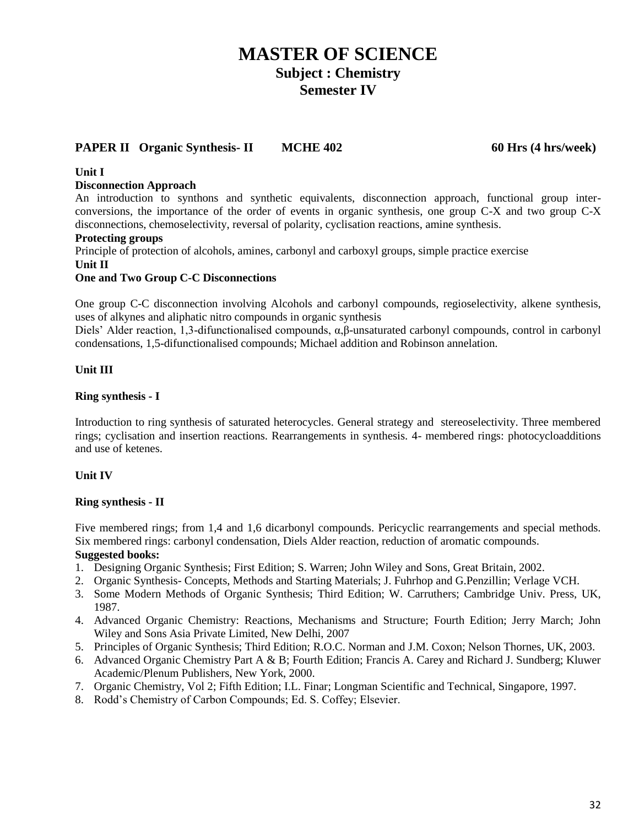### **PAPER II Organic Synthesis- II MCHE 402 60 Hrs (4 hrs/week)**

### **Unit I**

### **Disconnection Approach**

An introduction to synthons and synthetic equivalents, disconnection approach, functional group interconversions, the importance of the order of events in organic synthesis, one group C-X and two group C-X disconnections, chemoselectivity, reversal of polarity, cyclisation reactions, amine synthesis.

### **Protecting groups**

Principle of protection of alcohols, amines, carbonyl and carboxyl groups, simple practice exercise **Unit II**

### **One and Two Group C-C Disconnections**

One group C-C disconnection involving Alcohols and carbonyl compounds, regioselectivity, alkene synthesis, uses of alkynes and aliphatic nitro compounds in organic synthesis

Diels' Alder reaction, 1,3-difunctionalised compounds, α,β-unsaturated carbonyl compounds, control in carbonyl condensations, 1,5-difunctionalised compounds; Michael addition and Robinson annelation.

### **Unit III**

### **Ring synthesis - I**

Introduction to ring synthesis of saturated heterocycles. General strategy and stereoselectivity. Three membered rings; cyclisation and insertion reactions. Rearrangements in synthesis. 4- membered rings: photocycloadditions and use of ketenes.

### **Unit IV**

### **Ring synthesis - II**

Five membered rings; from 1,4 and 1,6 dicarbonyl compounds. Pericyclic rearrangements and special methods. Six membered rings: carbonyl condensation, Diels Alder reaction, reduction of aromatic compounds. **Suggested books:**

- 1. Designing Organic Synthesis; First Edition; S. Warren; John Wiley and Sons, Great Britain, 2002.
- 2. Organic Synthesis- Concepts, Methods and Starting Materials; J. Fuhrhop and G.Penzillin; Verlage VCH.
- 3. Some Modern Methods of Organic Synthesis; Third Edition; W. Carruthers; Cambridge Univ. Press, UK, 1987.
- 4. Advanced Organic Chemistry: Reactions, Mechanisms and Structure; Fourth Edition; Jerry March; John Wiley and Sons Asia Private Limited, New Delhi, 2007
- 5. Principles of Organic Synthesis; Third Edition; R.O.C. Norman and J.M. Coxon; Nelson Thornes, UK, 2003.
- 6. Advanced Organic Chemistry Part A & B; Fourth Edition; Francis A. Carey and Richard J. Sundberg; Kluwer Academic/Plenum Publishers, New York, 2000.
- 7. Organic Chemistry, Vol 2; Fifth Edition; I.L. Finar; Longman Scientific and Technical, Singapore, 1997.
- 8. Rodd's Chemistry of Carbon Compounds; Ed. S. Coffey; Elsevier.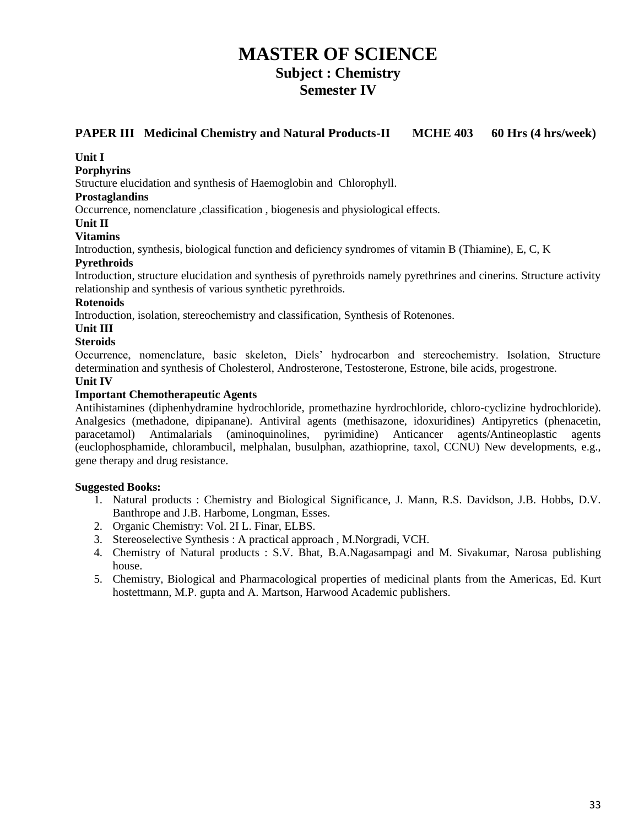### **PAPER III Medicinal Chemistry and Natural Products-II MCHE 403 60 Hrs (4 hrs/week)**

### **Unit I**

### **Porphyrins**

Structure elucidation and synthesis of Haemoglobin and Chlorophyll.

### **Prostaglandins**

Occurrence, nomenclature ,classification , biogenesis and physiological effects.

### **Unit II**

### **Vitamins**

Introduction, synthesis, biological function and deficiency syndromes of vitamin B (Thiamine), E, C, K

### **Pyrethroids**

Introduction, structure elucidation and synthesis of pyrethroids namely pyrethrines and cinerins. Structure activity relationship and synthesis of various synthetic pyrethroids.

### **Rotenoids**

Introduction, isolation, stereochemistry and classification, Synthesis of Rotenones.

### **Unit III**

### **Steroids**

Occurrence, nomenclature, basic skeleton, Diels' hydrocarbon and stereochemistry. Isolation, Structure determination and synthesis of Cholesterol, Androsterone, Testosterone, Estrone, bile acids, progestrone.

### **Unit IV**

### **Important Chemotherapeutic Agents**

Antihistamines (diphenhydramine hydrochloride, promethazine hyrdrochloride, chloro-cyclizine hydrochloride). Analgesics (methadone, dipipanane). Antiviral agents (methisazone, idoxuridines) Antipyretics (phenacetin, paracetamol) Antimalarials (aminoquinolines, pyrimidine) Anticancer agents/Antineoplastic agents (euclophosphamide, chlorambucil, melphalan, busulphan, azathioprine, taxol, CCNU) New developments, e.g., gene therapy and drug resistance.

- 1. Natural products : Chemistry and Biological Significance, J. Mann, R.S. Davidson, J.B. Hobbs, D.V. Banthrope and J.B. Harbome, Longman, Esses.
- 2. Organic Chemistry: Vol. 2I L. Finar, ELBS.
- 3. Stereoselective Synthesis : A practical approach , M.Norgradi, VCH.
- 4. Chemistry of Natural products : S.V. Bhat, B.A.Nagasampagi and M. Sivakumar, Narosa publishing house.
- 5. Chemistry, Biological and Pharmacological properties of medicinal plants from the Americas, Ed. Kurt hostettmann, M.P. gupta and A. Martson, Harwood Academic publishers.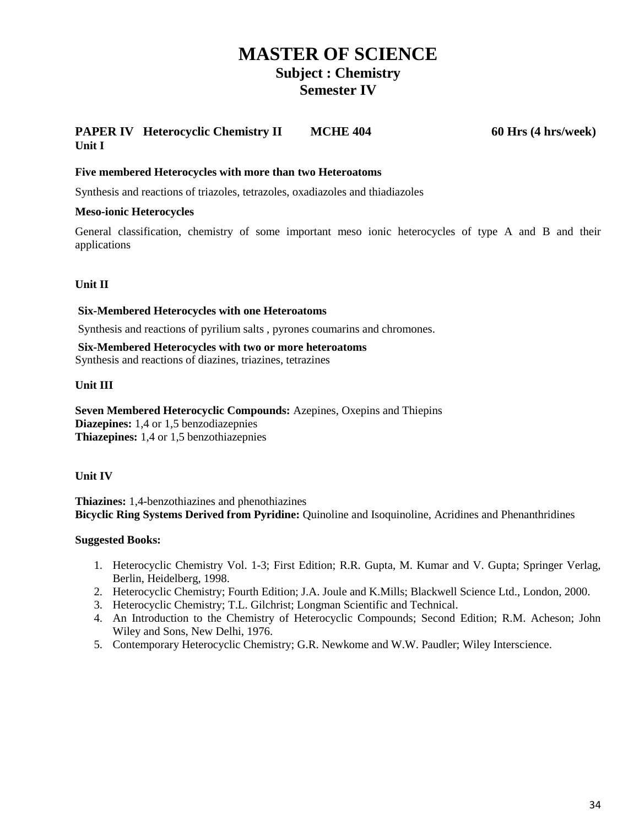### **PAPER IV** Heterocyclic Chemistry II MCHE 404 60 Hrs (4 hrs/week) **Unit I**

### **Five membered Heterocycles with more than two Heteroatoms**

Synthesis and reactions of triazoles, tetrazoles, oxadiazoles and thiadiazoles

### **Meso-ionic Heterocycles**

General classification, chemistry of some important meso ionic heterocycles of type A and B and their applications

### **Unit II**

### **Six-Membered Heterocycles with one Heteroatoms**

Synthesis and reactions of pyrilium salts , pyrones coumarins and chromones.

**Six-Membered Heterocycles with two or more heteroatoms** Synthesis and reactions of diazines, triazines, tetrazines

### **Unit III**

**Seven Membered Heterocyclic Compounds:** Azepines, Oxepins and Thiepins **Diazepines:** 1,4 or 1,5 benzodiazepnies **Thiazepines:** 1,4 or 1,5 benzothiazepnies

### **Unit IV**

**Thiazines:** 1,4-benzothiazines and phenothiazines **Bicyclic Ring Systems Derived from Pyridine:** Quinoline and Isoquinoline, Acridines and Phenanthridines

- 1. Heterocyclic Chemistry Vol. 1-3; First Edition; R.R. Gupta, M. Kumar and V. Gupta; Springer Verlag, Berlin, Heidelberg, 1998.
- 2. Heterocyclic Chemistry; Fourth Edition; J.A. Joule and K.Mills; Blackwell Science Ltd., London, 2000.
- 3. Heterocyclic Chemistry; T.L. Gilchrist; Longman Scientific and Technical.
- 4. An Introduction to the Chemistry of Heterocyclic Compounds; Second Edition; R.M. Acheson; John Wiley and Sons, New Delhi, 1976.
- 5. Contemporary Heterocyclic Chemistry; G.R. Newkome and W.W. Paudler; Wiley Interscience.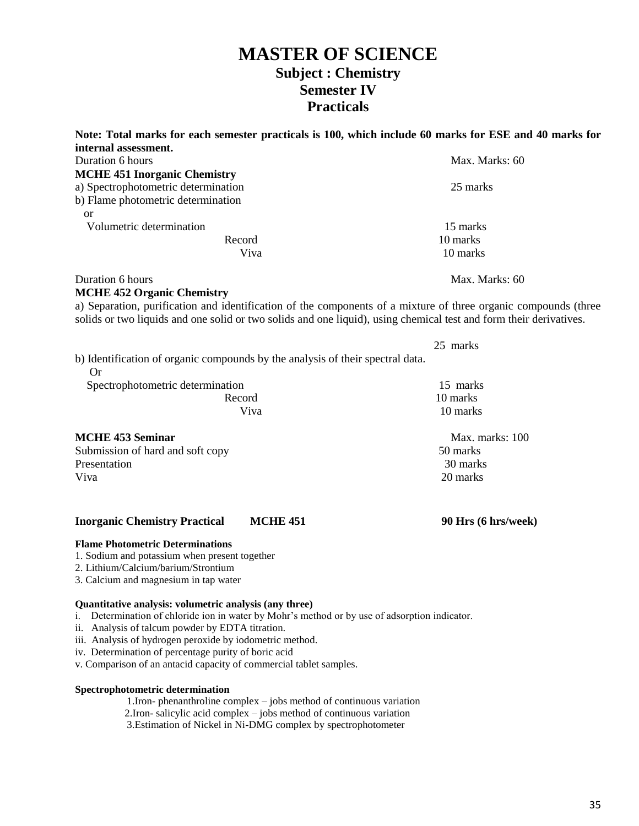| Note: Total marks for each semester practicals is 100, which include 60 marks for ESE and 40 marks for<br>internal assessment.                                                                                                        |                     |
|---------------------------------------------------------------------------------------------------------------------------------------------------------------------------------------------------------------------------------------|---------------------|
| Duration 6 hours                                                                                                                                                                                                                      | Max. Marks: 60      |
| <b>MCHE 451 Inorganic Chemistry</b>                                                                                                                                                                                                   |                     |
| a) Spectrophotometric determination                                                                                                                                                                                                   | 25 marks            |
| b) Flame photometric determination                                                                                                                                                                                                    |                     |
| <b>or</b>                                                                                                                                                                                                                             |                     |
| Volumetric determination                                                                                                                                                                                                              | 15 marks            |
| Record                                                                                                                                                                                                                                | 10 marks            |
| Viva                                                                                                                                                                                                                                  | 10 marks            |
| Duration 6 hours                                                                                                                                                                                                                      | Max. Marks: 60      |
| <b>MCHE 452 Organic Chemistry</b>                                                                                                                                                                                                     |                     |
| a) Separation, purification and identification of the components of a mixture of three organic compounds (three<br>solids or two liquids and one solid or two solids and one liquid), using chemical test and form their derivatives. |                     |
|                                                                                                                                                                                                                                       | 25 marks            |
| b) Identification of organic compounds by the analysis of their spectral data.<br><b>Or</b>                                                                                                                                           |                     |
| Spectrophotometric determination                                                                                                                                                                                                      | 15 marks            |
| Record                                                                                                                                                                                                                                | 10 marks            |
| Viva                                                                                                                                                                                                                                  | 10 marks            |
| <b>MCHE 453 Seminar</b>                                                                                                                                                                                                               | Max. marks: 100     |
| Submission of hard and soft copy                                                                                                                                                                                                      | 50 marks            |
| Presentation                                                                                                                                                                                                                          | 30 marks            |
| Viva                                                                                                                                                                                                                                  | 20 marks            |
|                                                                                                                                                                                                                                       |                     |
| <b>Inorganic Chemistry Practical</b><br><b>MCHE 451</b>                                                                                                                                                                               | 90 Hrs (6 hrs/week) |
| <b>Flame Photometric Determinations</b><br>1. Sodium and potassium when present together<br>2. Lithium/Calcium/barium/Strontium<br>3. Calcium and magnesium in tap water                                                              |                     |
|                                                                                                                                                                                                                                       |                     |

#### **Quantitative analysis: volumetric analysis (any three)**

i. Determination of chloride ion in water by Mohr's method or by use of adsorption indicator.

ii. Analysis of talcum powder by EDTA titration.

iii. Analysis of hydrogen peroxide by iodometric method.

iv. Determination of percentage purity of boric acid

v. Comparison of an antacid capacity of commercial tablet samples.

### **Spectrophotometric determination**

1.Iron- phenanthroline complex – jobs method of continuous variation

2.Iron- salicylic acid complex – jobs method of continuous variation

3.Estimation of Nickel in Ni-DMG complex by spectrophotometer